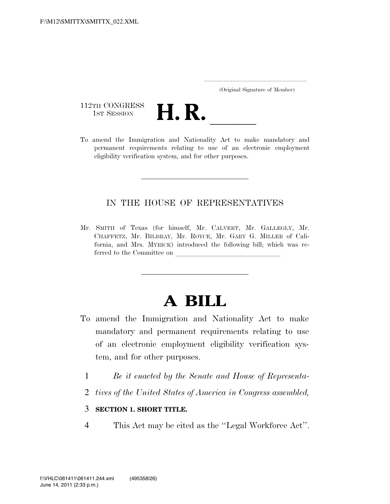..................................................................... (Original Signature of Member)

112TH CONGRESS<br>1st Session



112TH CONGRESS<br>1st SESSION **H. R.** <u>Indicated the Immigration</u> and Nationality Act to make mandatory and permanent requirements relating to use of an electronic employment eligibility verification system, and for other purposes.

### IN THE HOUSE OF REPRESENTATIVES

Mr. SMITH of Texas (for himself, Mr. CALVERT, Mr. GALLEGLY, Mr. CHAFFETZ, Mr. BILBRAY, Mr. ROYCE, Mr. GARY G. MILLER of California, and Mrs. MYRICK) introduced the following bill; which was referred to the Committee on

# **A BILL**

- To amend the Immigration and Nationality Act to make mandatory and permanent requirements relating to use of an electronic employment eligibility verification system, and for other purposes.
	- 1 *Be it enacted by the Senate and House of Representa-*
	- 2 *tives of the United States of America in Congress assembled,*

### 3 **SECTION 1. SHORT TITLE.**

4 This Act may be cited as the ''Legal Workforce Act''.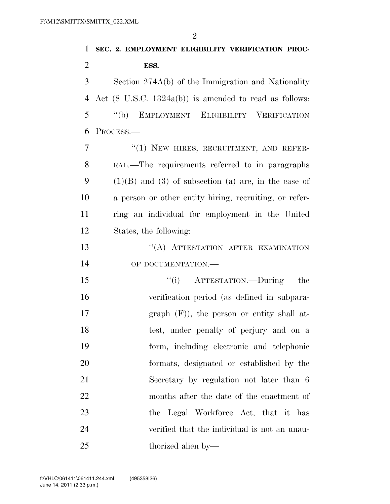| $\mathbf{1}$   | SEC. 2. EMPLOYMENT ELIGIBILITY VERIFICATION PROC-                 |
|----------------|-------------------------------------------------------------------|
| $\overline{2}$ | ESS.                                                              |
| 3              | Section 274A(b) of the Immigration and Nationality                |
| $\overline{4}$ | Act $(8 \text{ U.S.C. } 1324a(b))$ is amended to read as follows: |
| 5              | "(b) EMPLOYMENT ELIGIBILITY VERIFICATION                          |
| 6              | PROCESS.-                                                         |
| 7              | "(1) NEW HIRES, RECRUITMENT, AND REFER-                           |
| 8              | RAL.—The requirements referred to in paragraphs                   |
| 9              | $(1)(B)$ and $(3)$ of subsection (a) are, in the case of          |
| 10             | a person or other entity hiring, recruiting, or refer-            |
| 11             | ring an individual for employment in the United                   |
| 12             | States, the following:                                            |
| 13             | "(A) ATTESTATION AFTER EXAMINATION                                |
| 14             | OF DOCUMENTATION.-                                                |
| 15             | "(i) ATTESTATION.—During<br>the                                   |
| 16             | verification period (as defined in subpara-                       |
| 17             | graph $(F)$ ), the person or entity shall at-                     |
| 18             | test, under penalty of perjury and on a                           |
| 19             | form, including electronic and telephonic                         |
| 20             | formats, designated or established by the                         |
| 21             | Secretary by regulation not later than 6                          |
| 22             | months after the date of the enactment of                         |
| 23             | the Legal Workforce Act, that it has                              |
| 24             | verified that the individual is not an unau-                      |
| 25             | thorized alien by-                                                |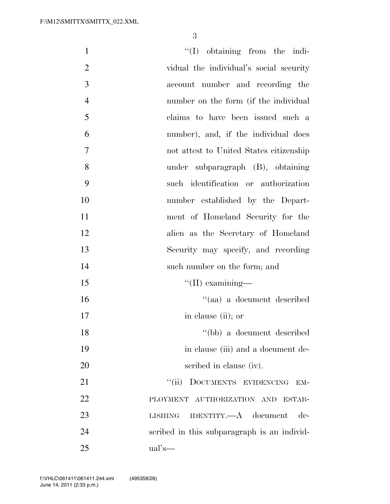| $\mathbf{1}$   | $\lq\lq$ (I) obtaining from the indi-       |
|----------------|---------------------------------------------|
| $\overline{2}$ | vidual the individual's social security     |
| 3              | account number and recording the            |
| $\overline{4}$ | number on the form (if the individual       |
| 5              | claims to have been issued such a           |
| 6              | number), and, if the individual does        |
| $\overline{7}$ | not attest to United States citizenship     |
| 8              | under subparagraph (B), obtaining           |
| 9              | such identification or authorization        |
| 10             | number established by the Depart-           |
| 11             | ment of Homeland Security for the           |
| 12             | alien as the Secretary of Homeland          |
| 13             | Security may specify, and recording         |
| 14             | such number on the form; and                |
| 15             | $\lq\lq$ (II) examining—                    |
| 16             | "(aa) a document described                  |
| 17             | in clause (ii); or                          |
| 18             | "(bb) a document described                  |
| 19             | in clause (iii) and a document de-          |
| 20             | scribed in clause (iv).                     |
| 21             | DOCUMENTS EVIDENCING<br>``(ii)<br>EM-       |
| 22             | PLOYMENT AUTHORIZATION AND ESTAB-           |
| 23             | IDENTITY.—A document<br>$de-$<br>LISHING    |
| 24             | scribed in this subparagraph is an individ- |
| 25             | $ual's$ —                                   |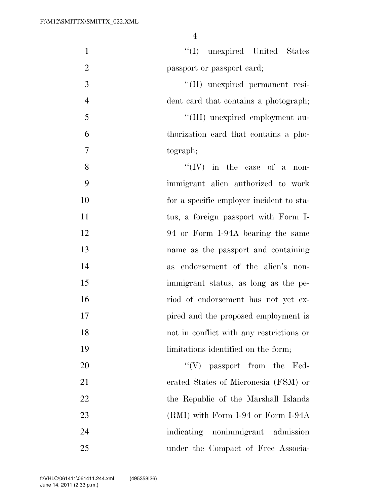| $\mathbf{1}$   | "(I) unexpired United States                 |
|----------------|----------------------------------------------|
| $\overline{2}$ | passport or passport card;                   |
| $\mathfrak{Z}$ | "(II) unexpired permanent resi-              |
| $\overline{4}$ | dent card that contains a photograph;        |
| 5              | "(III) unexpired employment au-              |
| 6              | thorization card that contains a pho-        |
| $\overline{7}$ | tograph;                                     |
| 8              | $\lq\lq (IV)$ in the case of a<br>non-       |
| 9              | immigrant alien authorized to work           |
| 10             | for a specific employer incident to sta-     |
| 11             | tus, a foreign passport with Form I-         |
| 12             | 94 or Form I-94A bearing the same            |
| 13             | name as the passport and containing          |
| 14             | endorsement of the alien's non-<br><b>as</b> |
| 15             | immigrant status, as long as the pe-         |
| 16             | riod of endorsement has not yet ex-          |
| 17             | pired and the proposed employment is         |
| 18             | not in conflict with any restrictions or     |
| 19             | limitations identified on the form;          |
| 20             | $\lq\lq(V)$ passport from the Fed-           |
| 21             | erated States of Micronesia (FSM) or         |
| 22             | the Republic of the Marshall Islands         |
| 23             | $(RMI)$ with Form I-94 or Form I-94A         |
| 24             | indicating nonimmigrant admission            |
| 25             | under the Compact of Free Associa-           |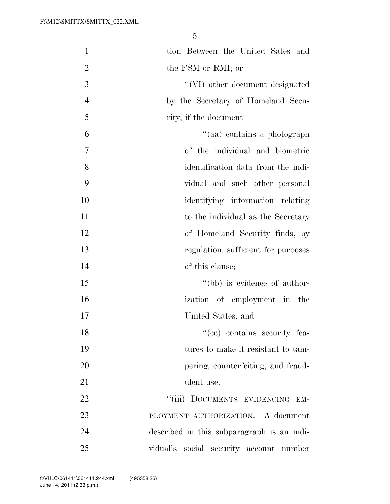| $\mathbf{1}$   | tion Between the United Sates and          |
|----------------|--------------------------------------------|
| $\overline{2}$ | the FSM or RMI; or                         |
| 3              | "(VI) other document designated            |
| $\overline{4}$ | by the Secretary of Homeland Secu-         |
| 5              | rity, if the document—                     |
| 6              | "(aa) contains a photograph                |
| 7              | of the individual and biometric            |
| 8              | identification data from the indi-         |
| 9              | vidual and such other personal             |
| 10             | identifying information relating           |
| 11             | to the individual as the Secretary         |
| 12             | of Homeland Security finds, by             |
| 13             | regulation, sufficient for purposes        |
| 14             | of this clause;                            |
| 15             | "(bb) is evidence of author-               |
| 16             | ization of employment in the               |
| 17             | United States, and                         |
| 18             | "(cc) contains security fea-               |
| 19             | tures to make it resistant to tam-         |
| 20             | pering, counterfeiting, and fraud-         |
| 21             | ulent use.                                 |
| 22             | ``(iii)<br>DOCUMENTS EVIDENCING<br>EM-     |
| 23             | PLOYMENT AUTHORIZATION.—A document         |
| 24             | described in this subparagraph is an indi- |
| 25             | vidual's social security account number    |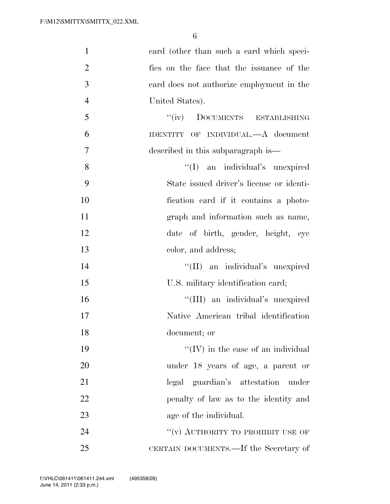| $\mathbf{1}$   | card (other than such a card which speci-  |
|----------------|--------------------------------------------|
| $\overline{2}$ | fies on the face that the issuance of the  |
| 3              | card does not authorize employment in the  |
| $\overline{4}$ | United States).                            |
| 5              | "(iv) DOCUMENTS ESTABLISHING               |
| 6              | IDENTITY OF INDIVIDUAL.—A document         |
| 7              | described in this subparagraph is—         |
| 8              | "(I) an individual's unexpired             |
| 9              | State issued driver's license or identi-   |
| 10             | fication card if it contains a photo-      |
| 11             | graph and information such as name,        |
| 12             | date of birth, gender, height, eye         |
| 13             | color, and address;                        |
| 14             | "(II) an individual's unexpired            |
| 15             | U.S. military identification card;         |
| 16             | "(III) an individual's unexpired           |
| 17             | Native American tribal identification      |
| 18             | document; or                               |
| 19             | $\lq\lq$ (IV) in the case of an individual |
| 20             | under 18 years of age, a parent or         |
| 21             | legal guardian's attestation under         |
| 22             | penalty of law as to the identity and      |
| 23             | age of the individual.                     |
| 24             | "(v) AUTHORITY TO PROHIBIT USE OF          |
| 25             | CERTAIN DOCUMENTS.—If the Secretary of     |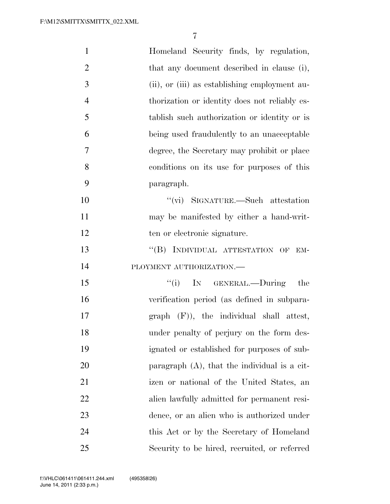| $\mathbf{1}$   | Homeland Security finds, by regulation,         |
|----------------|-------------------------------------------------|
| $\overline{2}$ | that any document described in clause (i),      |
| 3              | (ii), or (iii) as establishing employment au-   |
| $\overline{4}$ | thorization or identity does not reliably es-   |
| 5              | tablish such authorization or identity or is    |
| 6              | being used fraudulently to an unacceptable      |
| 7              | degree, the Secretary may prohibit or place     |
| 8              | conditions on its use for purposes of this      |
| 9              | paragraph.                                      |
| 10             | "(vi) SIGNATURE.—Such attestation               |
| 11             | may be manifested by either a hand-writ-        |
| 12             | ten or electronic signature.                    |
| 13             | "(B) INDIVIDUAL ATTESTATION OF<br>EM-           |
| 14             | PLOYMENT AUTHORIZATION.-                        |
| 15             | ``(i)<br>IN GENERAL.—During<br>the              |
| 16             | verification period (as defined in subpara-     |
| 17             | graph (F)), the individual shall attest,        |
| 18             | under penalty of perjury on the form des-       |
| 19             | ignated or established for purposes of sub-     |
| 20             | paragraph $(A)$ , that the individual is a cit- |
| 21             | izen or national of the United States, an       |
| 22             | alien lawfully admitted for permanent resi-     |
| 23             | dence, or an alien who is authorized under      |
| 24             | this Act or by the Secretary of Homeland        |
| 25             | Security to be hired, recruited, or referred    |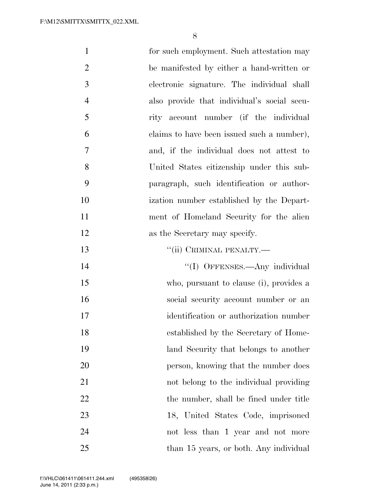| $\mathbf{1}$   | for such employment. Such attestation may   |
|----------------|---------------------------------------------|
| $\overline{2}$ | be manifested by either a hand-written or   |
| 3              | electronic signature. The individual shall  |
| $\overline{4}$ | also provide that individual's social secu- |
| 5              | rity account number (if the individual      |
| 6              | claims to have been issued such a number),  |
| $\overline{7}$ | and, if the individual does not attest to   |
| 8              | United States citizenship under this sub-   |
| 9              | paragraph, such identification or author-   |
| 10             | ization number established by the Depart-   |
| 11             | ment of Homeland Security for the alien     |
| 12             | as the Secretary may specify.               |
| 13             | "(ii) CRIMINAL PENALTY.—                    |
| 14             | "(I) OFFENSES.—Any individual               |
| 15             | who, pursuant to clause (i), provides a     |
| 16             | social security account number or an        |
| 17             | identification or authorization number      |
| 18             | established by the Secretary of Home-       |
| 19             | land Security that belongs to another       |
| 20             | person, knowing that the number does        |
| 21             | not belong to the individual providing      |
| 22             | the number, shall be fined under title      |
| 23             | 18, United States Code, imprisoned          |
| 24             | not less than 1 year and not more           |
| 25             | than 15 years, or both. Any individual      |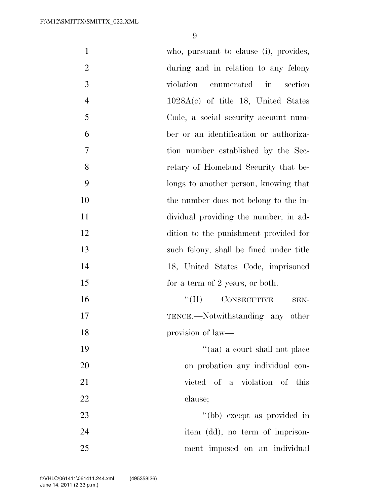| $\mathbf{1}$   | who, pursuant to clause (i), provides,       |
|----------------|----------------------------------------------|
| $\mathbf{2}$   | during and in relation to any felony         |
| 3              | violation<br>enumerated<br>section<br>$\sin$ |
| $\overline{4}$ | $1028A(c)$ of title 18, United States        |
| 5              | Code, a social security account num-         |
| 6              | ber or an identification or authoriza-       |
| 7              | tion number established by the Sec-          |
| 8              | retary of Homeland Security that be-         |
| 9              | longs to another person, knowing that        |
| 10             | the number does not belong to the in-        |
| 11             | dividual providing the number, in ad-        |
| 12             | dition to the punishment provided for        |
| 13             | such felony, shall be fined under title      |
| 14             | 18, United States Code, imprisoned           |
| 15             | for a term of 2 years, or both.              |
| 16             | $``(II)$ CONSECUTIVE<br>SEN-                 |
| 17             | TENCE.—Notwithstanding any other             |
| 18             | provision of law—                            |
| 19             | "(aa) a court shall not place                |
| 20             | on probation any individual con-             |
| 21             | victed of a violation of this                |
| 22             | clause;                                      |
| 23             | "(bb) except as provided in                  |
| 24             | item (dd), no term of imprison-              |
| 25             | ment imposed on an individual                |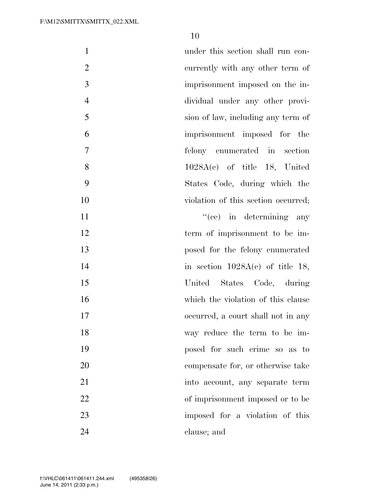| $\mathbf{1}$     | under this section shall run con-   |
|------------------|-------------------------------------|
| $\overline{2}$   | currently with any other term of    |
| $\mathfrak{Z}$   | imprisonment imposed on the in-     |
| $\overline{4}$   | dividual under any other provi-     |
| 5                | sion of law, including any term of  |
| 6                | imprisonment imposed for the        |
| $\boldsymbol{7}$ | felony enumerated in section        |
| 8                | $1028A(c)$ of title 18, United      |
| 9                | States Code, during which the       |
| 10               | violation of this section occurred; |
| 11               | $f'(ce)$ in determining any         |
| 12               | term of imprisonment to be im-      |
| 13               | posed for the felony enumerated     |
| 14               | in section $1028A(c)$ of title 18,  |
| 15               | United States Code, during          |
| 16               | which the violation of this clause  |
| 17               | occurred, a court shall not in any  |
| 18               | way reduce the term to be im-       |
| 19               | posed for such crime so as to       |
| 20               | compensate for, or otherwise take   |
| 21               | into account, any separate term     |
| 22               | of imprisonment imposed or to be    |
| 23               | imposed for a violation of this     |
| 24               | clause; and                         |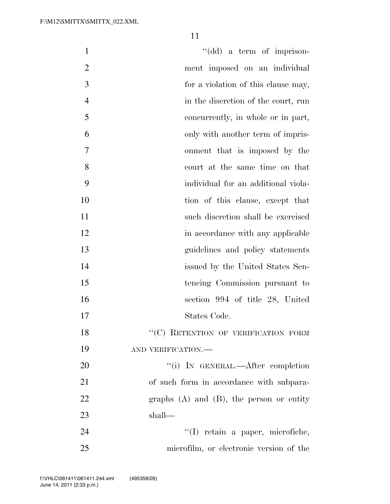| $\mathbf{1}$   | "(dd) a term of imprison-                     |
|----------------|-----------------------------------------------|
| $\overline{2}$ | ment imposed on an individual                 |
| 3              | for a violation of this clause may,           |
| $\overline{4}$ | in the discretion of the court, run           |
| 5              | concurrently, in whole or in part,            |
| 6              | only with another term of impris-             |
| 7              | onment that is imposed by the                 |
| 8              | court at the same time on that                |
| 9              | individual for an additional viola-           |
| 10             | tion of this clause, except that              |
| 11             | such discretion shall be exercised            |
| 12             | in accordance with any applicable             |
| 13             | guidelines and policy statements              |
| 14             | issued by the United States Sen-              |
| 15             | tencing Commission pursuant to                |
| 16             | section 994 of title 28, United               |
| 17             | States Code.                                  |
| 18             | "(C) RETENTION OF VERIFICATION FORM           |
| 19             | AND VERIFICATION.-                            |
| 20             | "(i) IN GENERAL.—After completion             |
| 21             | of such form in accordance with subpara-      |
| 22             | graphs $(A)$ and $(B)$ , the person or entity |
| 23             | shall—                                        |
| 24             | "(I) retain a paper, microfiche,              |
| 25             | microfilm, or electronic version of the       |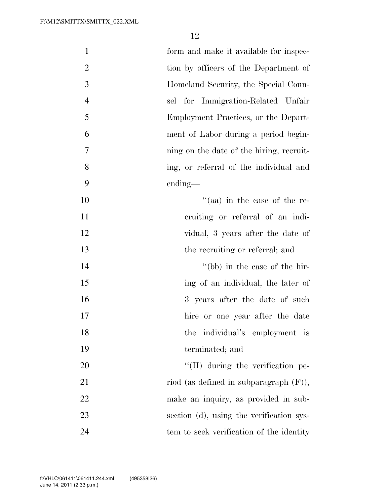| $\mathbf{1}$   | form and make it available for inspec-    |
|----------------|-------------------------------------------|
| $\overline{2}$ | tion by officers of the Department of     |
| 3              | Homeland Security, the Special Coun-      |
| $\overline{4}$ | sel for Immigration-Related Unfair        |
| 5              | Employment Practices, or the Depart-      |
| 6              | ment of Labor during a period begin-      |
| $\overline{7}$ | ning on the date of the hiring, recruit-  |
| 8              | ing, or referral of the individual and    |
| 9              | ending—                                   |
| 10             | $\cdot$ (aa) in the case of the re-       |
| 11             | cruiting or referral of an indi-          |
| 12             | vidual, 3 years after the date of         |
| 13             | the recruiting or referral; and           |
| 14             | "(bb) in the case of the hir-             |
| 15             | ing of an individual, the later of        |
| 16             | 3 years after the date of such            |
| 17             | hire or one year after the date           |
| 18             | the<br>individual's employment is         |
| 19             | terminated; and                           |
| 20             | $\lq\lq$ (II) during the verification pe- |
| 21             | riod (as defined in subparagraph $(F)$ ), |
| 22             | make an inquiry, as provided in sub-      |
| 23             | section (d), using the verification sys-  |
| 24             | tem to seek verification of the identity  |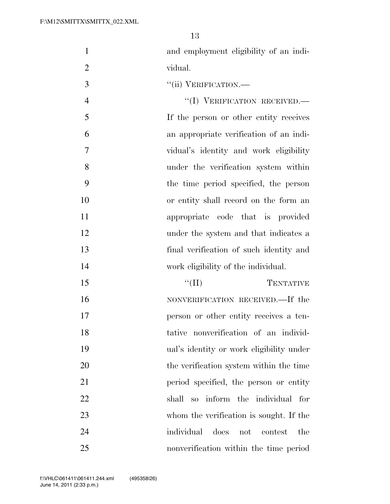- and employment eligibility of an indi-vidual.
- ''(ii) VERIFICATION.—

 $''(I)$  VERIFICATION RECEIVED. If the person or other entity receives an appropriate verification of an indi- vidual's identity and work eligibility under the verification system within the time period specified, the person or entity shall record on the form an appropriate code that is provided under the system and that indicates a final verification of such identity and work eligibility of the individual.

 $\text{``(II)}$  TENTATIVE 16 NONVERIFICATION RECEIVED.—If the person or other entity receives a ten- tative nonverification of an individ- ual's identity or work eligibility under 20 the verification system within the time period specified, the person or entity shall so inform the individual for whom the verification is sought. If the individual does not contest the nonverification within the time period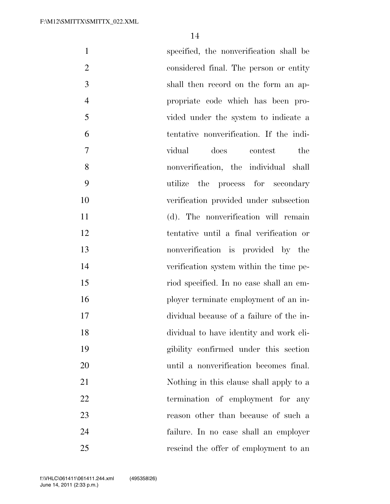| specified, the nonverification shall be  | $\mathbf{1}$   |
|------------------------------------------|----------------|
| considered final. The person or entity   | $\overline{2}$ |
| shall then record on the form an ap-     | 3              |
| propriate code which has been pro-       | $\overline{4}$ |
| vided under the system to indicate a     | 5              |
| tentative nonverification. If the indi-  | 6              |
| does<br>the<br>vidual<br>contest         | $\tau$         |
| nonverification, the individual shall    | 8              |
| utilize the process for secondary        | 9              |
| verification provided under subsection   | 10             |
| (d). The nonverification will remain     | 11             |
| tentative until a final verification or  | 12             |
| nonverification is provided by the       | 13             |
| verification system within the time pe-  | 14             |
| riod specified. In no case shall an em-  | 15             |
| ployer terminate employment of an in-    | 16             |
| dividual because of a failure of the in- | 17             |
| dividual to have identity and work eli-  | 18             |
| gibility confirmed under this section    | 19             |
| until a nonverification becomes final.   | 20             |
| Nothing in this clause shall apply to a  | 21             |
| termination of employment for any        | 22             |
| reason other than because of such a      | 23             |
| failure. In no case shall an employer    | 24             |
| rescind the offer of employment to an    | 25             |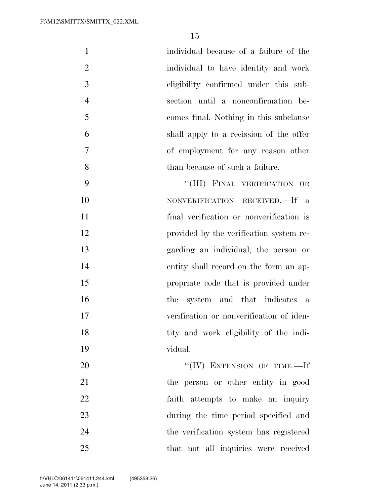| $\mathbf{1}$   | individual because of a failure of the   |  |
|----------------|------------------------------------------|--|
| $\overline{2}$ | individual to have identity and work     |  |
| 3              | eligibility confirmed under this sub-    |  |
| $\overline{4}$ | section until a nonconfirmation be-      |  |
| 5              | comes final. Nothing in this subclause   |  |
| 6              | shall apply to a recission of the offer  |  |
| $\overline{7}$ | of employment for any reason other       |  |
| 8              | than because of such a failure.          |  |
| 9              | "(III) FINAL VERIFICATION OR             |  |
| 10             | NONVERIFICATION RECEIVED.—If a           |  |
| 11             | final verification or nonverification is |  |
| 12             | provided by the verification system re-  |  |
| 13             | garding an individual, the person or     |  |
| 14             | entity shall record on the form an ap-   |  |
| 15             | propriate code that is provided under    |  |
| 16             | system and that indicates a<br>the       |  |
| 17             | verification or nonverification of iden- |  |
| 18             | tity and work eligibility of the indi-   |  |
| 19             | vidual.                                  |  |

20 ''(IV) EXTENSION OF TIME.—If the person or other entity in good faith attempts to make an inquiry during the time period specified and the verification system has registered that not all inquiries were received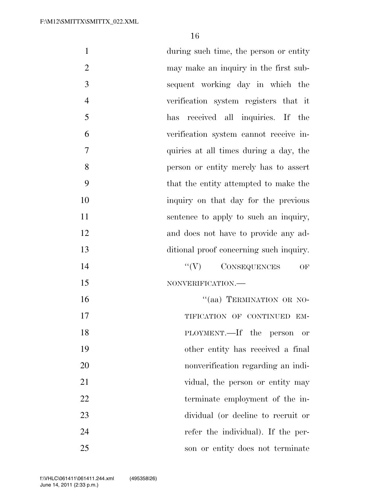| $\mathbf{1}$   | during such time, the person or entity  |
|----------------|-----------------------------------------|
| $\overline{2}$ | may make an inquiry in the first sub-   |
| 3              | sequent working day in which the        |
| $\overline{4}$ | verification system registers that it   |
| 5              | received all inquiries. If the<br>has   |
| 6              | verification system cannot receive in-  |
| $\overline{7}$ | quiries at all times during a day, the  |
| 8              | person or entity merely has to assert   |
| 9              | that the entity attempted to make the   |
| 10             | inquiry on that day for the previous    |
| 11             | sentence to apply to such an inquiry,   |
| 12             | and does not have to provide any ad-    |
| 13             | ditional proof concerning such inquiry. |
| 14             | $``(V)$ CONSEQUENCES<br>OF              |
| 15             | NONVERIFICATION.-                       |
| 16             | "(aa) TERMINATION OR NO-                |
| 17             | TIFICATION OF CONTINUED EM-             |
| 18             | PLOYMENT.—If the person<br>or           |
| 19             | other entity has received a final       |
| 20             | nonverification regarding an indi-      |
| 21             | vidual, the person or entity may        |
| 22             | terminate employment of the in-         |
| 23             | dividual (or decline to recruit or      |
| 24             | refer the individual). If the per-      |
| 25             | son or entity does not terminate        |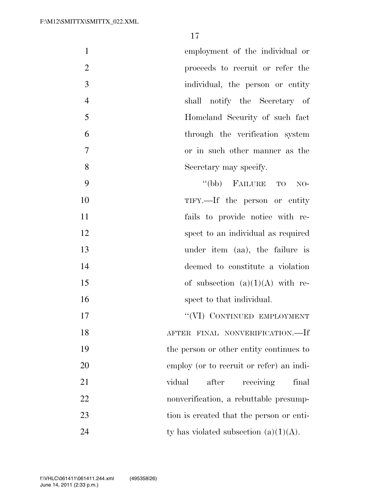| $\mathbf{1}$   | employment of the individual or          |
|----------------|------------------------------------------|
| $\overline{2}$ | proceeds to recruit or refer the         |
| 3              | individual, the person or entity         |
| $\overline{4}$ | shall notify the Secretary of            |
| 5              | Homeland Security of such fact           |
| 6              | through the verification system          |
| 7              | or in such other manner as the           |
| 8              | Secretary may specify.                   |
| 9              | "(bb) FAILURE TO<br>$NO-$                |
| 10             | TIFY.—If the person or entity            |
| 11             | fails to provide notice with re-         |
| 12             | spect to an individual as required       |
| 13             | under item (aa), the failure is          |
| 14             | deemed to constitute a violation         |
| 15             | of subsection $(a)(1)(A)$ with re-       |
| 16             | spect to that individual.                |
| 17             | "(VI) CONTINUED EMPLOYMENT               |
| 18             | AFTER FINAL NONVERIFICATION.—If          |
| 19             | the person or other entity continues to  |
| 20             | employ (or to recruit or refer) an indi- |
| 21             | receiving<br>vidual<br>after<br>final    |
| 22             | nonverification, a rebuttable presump-   |
|                |                                          |

tion is created that the person or enti-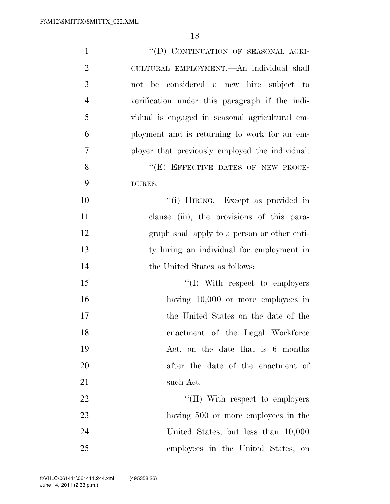| $\mathbf{1}$   | "(D) CONTINUATION OF SEASONAL AGRI-             |
|----------------|-------------------------------------------------|
| $\overline{2}$ | CULTURAL EMPLOYMENT.—An individual shall        |
| 3              | not be considered a new hire subject to         |
| $\overline{4}$ | verification under this paragraph if the indi-  |
| 5              | vidual is engaged in seasonal agricultural em-  |
| 6              | ployment and is returning to work for an em-    |
| 7              | ployer that previously employed the individual. |
| 8              | "(E) EFFECTIVE DATES OF NEW PROCE-              |
| 9              | DURES.                                          |
| 10             | "(i) HIRING.—Except as provided in              |
| 11             | clause (iii), the provisions of this para-      |
| 12             | graph shall apply to a person or other enti-    |
| 13             | ty hiring an individual for employment in       |
| 14             | the United States as follows:                   |
| 15             | $\lq\lq$ (I) With respect to employers          |
| 16             | having $10,000$ or more employees in            |
| 17             | the United States on the date of the            |
| 18             | enactment of the Legal Workforce                |
| 19             | Act, on the date that is 6 months               |
| 20             | after the date of the enactment of              |
| 21             | such Act.                                       |
| 22             | $\lq\lq$ (II) With respect to employers         |
| 23             | having 500 or more employees in the             |
| 24             | United States, but less than 10,000             |
| 25             | employees in the United States, on              |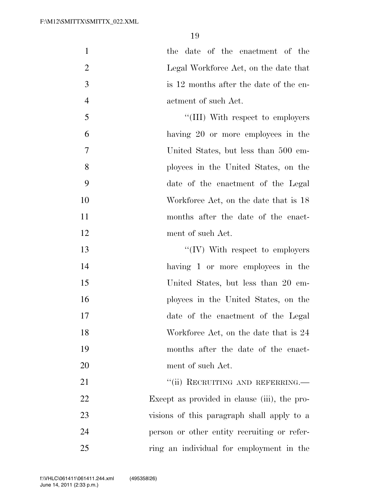| $\mathbf{1}$   | the date of the enactment of the             |
|----------------|----------------------------------------------|
| $\overline{2}$ | Legal Workforce Act, on the date that        |
| 3              | is 12 months after the date of the en-       |
| $\overline{4}$ | actment of such Act.                         |
| 5              | "(III) With respect to employers             |
| 6              | having 20 or more employees in the           |
| $\tau$         | United States, but less than 500 em-         |
| 8              | ployees in the United States, on the         |
| 9              | date of the enactment of the Legal           |
| 10             | Workforce Act, on the date that is 18        |
| 11             | months after the date of the enact-          |
| 12             | ment of such Act.                            |
| 13             | $\lq\lq (IV)$ With respect to employers      |
| 14             | having 1 or more employees in the            |
| 15             | United States, but less than 20 em-          |
| 16             | ployees in the United States, on the         |
| 17             | date of the enactment of the Legal           |
| 18             | Workforce Act, on the date that is 24        |
| 19             | months after the date of the enact-          |
| 20             | ment of such Act.                            |
| 21             | "(ii) RECRUITING AND REFERRING.—             |
| 22             | Except as provided in clause (iii), the pro- |
| 23             | visions of this paragraph shall apply to a   |
| 24             | person or other entity recruiting or refer-  |
| 25             | ring an individual for employment in the     |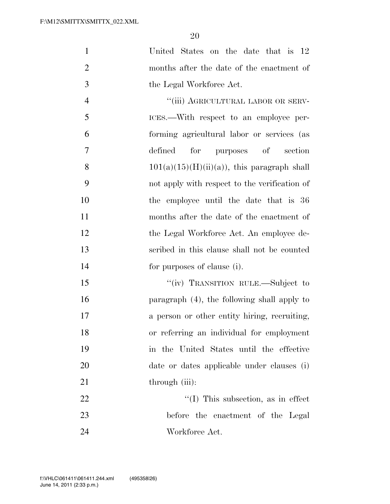United States on the date that is 12 months after the date of the enactment of the Legal Workforce Act.

4 "(iii) AGRICULTURAL LABOR OR SERV- ICES.—With respect to an employee per- forming agricultural labor or services (as defined for purposes of section 8 101(a)(15)(H)(ii)(a)), this paragraph shall not apply with respect to the verification of the employee until the date that is 36 months after the date of the enactment of 12 the Legal Workforce Act. An employee de- scribed in this clause shall not be counted for purposes of clause (i).

15 ""(iv) TRANSITION RULE.—Subject to paragraph (4), the following shall apply to a person or other entity hiring, recruiting, or referring an individual for employment in the United States until the effective date or dates applicable under clauses (i) 21 through (iii):

22 ''(I) This subsection, as in effect before the enactment of the Legal Workforce Act.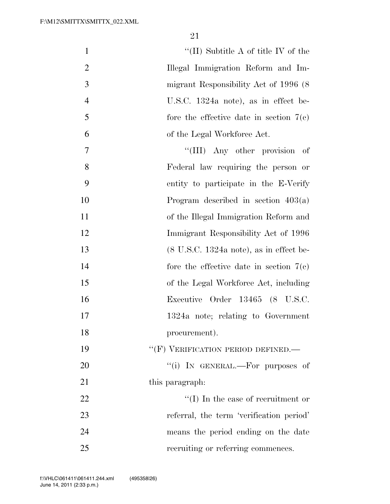| $\mathbf{1}$   | "(II) Subtitle A of title IV of the $\,$                    |
|----------------|-------------------------------------------------------------|
| $\overline{2}$ | Illegal Immigration Reform and Im-                          |
| 3              | migrant Responsibility Act of 1996 (8)                      |
| $\overline{4}$ | U.S.C. 1324a note), as in effect be-                        |
| 5              | fore the effective date in section $7(e)$                   |
| 6              | of the Legal Workforce Act.                                 |
| $\overline{7}$ | "(III) Any other provision of                               |
| 8              | Federal law requiring the person or                         |
| 9              | entity to participate in the E-Verify                       |
| 10             | Program described in section $403(a)$                       |
| 11             | of the Illegal Immigration Reform and                       |
| 12             | Immigrant Responsibility Act of 1996                        |
| 13             | $(8 \text{ U.S.C. } 1324a \text{ note})$ , as in effect be- |
| 14             | fore the effective date in section $7(e)$                   |
| 15             | of the Legal Workforce Act, including                       |
| 16             | Executive Order 13465 (8 U.S.C.                             |
| 17             | 1324a note; relating to Government                          |
| 18             | procurement).                                               |
| 19             | "(F) VERIFICATION PERIOD DEFINED.-                          |
| 20             | "(i) IN GENERAL.—For purposes of                            |
| 21             | this paragraph:                                             |
| 22             | $\lq\lq$ (I) In the case of recruitment or                  |
| 23             | referral, the term 'verification period'                    |
| 24             | means the period ending on the date                         |
| 25             | recruiting or referring commences.                          |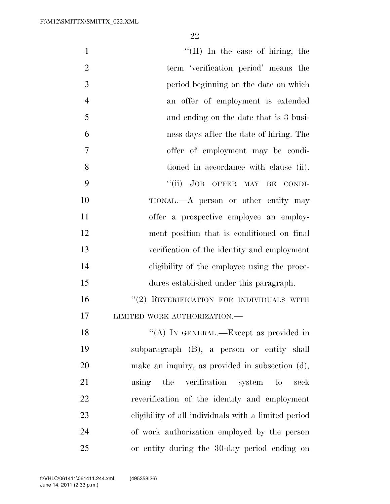| $\mathbf{1}$                                               | "(II) In the case of hiring, the |
|------------------------------------------------------------|----------------------------------|
| $\overline{2}$<br>term 'verification period' means the     |                                  |
| 3<br>period beginning on the date on which                 |                                  |
| $\overline{4}$<br>an offer of employment is extended       |                                  |
| 5<br>and ending on the date that is 3 busi-                |                                  |
| 6<br>ness days after the date of hiring. The               |                                  |
| 7<br>offer of employment may be condi-                     |                                  |
| 8<br>tioned in accordance with clause (ii).                |                                  |
| 9<br>"(ii) JOB OFFER MAY BE CONDI-                         |                                  |
| 10<br>TIONAL.—A person or other entity may                 |                                  |
| 11<br>offer a prospective employee an employ-              |                                  |
| 12<br>ment position that is conditioned on final           |                                  |
| 13<br>verification of the identity and employment          |                                  |
| 14<br>eligibility of the employee using the proce-         |                                  |
| 15<br>dures established under this paragraph.              |                                  |
| 16<br>"(2) REVERIFICATION FOR INDIVIDUALS WITH             |                                  |
| 17<br>LIMITED WORK AUTHORIZATION.-                         |                                  |
| "(A) IN GENERAL.—Except as provided in<br>18               |                                  |
| 19<br>subparagraph (B), a person or entity shall           |                                  |
| 20<br>make an inquiry, as provided in subsection (d),      |                                  |
| 21<br>using the verification system to                     | seek                             |
| 22<br>reverification of the identity and employment        |                                  |
| 23<br>eligibility of all individuals with a limited period |                                  |
| 24<br>of work authorization employed by the person         |                                  |
| 25<br>or entity during the 30-day period ending on         |                                  |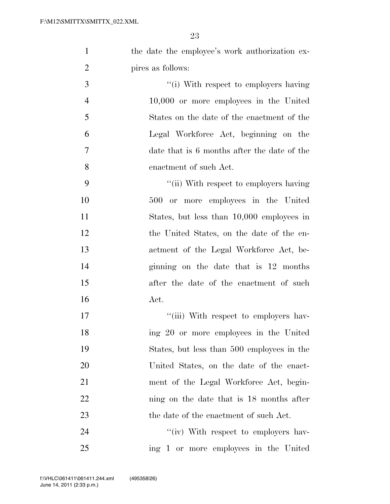| the date the employee's work authorization ex- |
|------------------------------------------------|
| pires as follows:                              |

 $\frac{1}{1}$  With respect to employers having 10,000 or more employees in the United States on the date of the enactment of the Legal Workforce Act, beginning on the date that is 6 months after the date of the enactment of such Act.

9 ''(ii) With respect to employers having 500 or more employees in the United States, but less than 10,000 employees in the United States, on the date of the en-13 actment of the Legal Workforce Act, be- ginning on the date that is 12 months after the date of the enactment of such 16 Act.

17  $\frac{1}{10}$  With respect to employers hav-18 ing 20 or more employees in the United 19 States, but less than 500 employees in the 20 United States, on the date of the enact-21 ment of the Legal Workforce Act, begin-22 ning on the date that is 18 months after 23 the date of the enactment of such Act.

24 ''(iv) With respect to employers hav-25 ing 1 or more employees in the United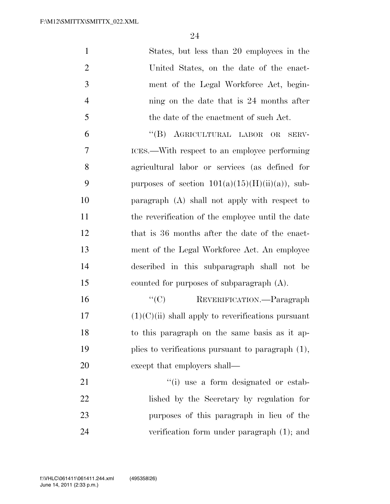| $\mathbf{1}$   | States, but less than 20 employees in the            |
|----------------|------------------------------------------------------|
| $\overline{2}$ | United States, on the date of the enact-             |
| 3              | ment of the Legal Workforce Act, begin-              |
| $\overline{4}$ | ning on the date that is 24 months after             |
| 5              | the date of the enactment of such Act.               |
| 6              | "(B) AGRICULTURAL LABOR OR<br>SERV-                  |
| 7              | ICES.—With respect to an employee performing         |
| 8              | agricultural labor or services (as defined for       |
| 9              | purposes of section $101(a)(15)(H)(ii)(a)$ , sub-    |
| 10             | paragraph (A) shall not apply with respect to        |
| 11             | the reverification of the employee until the date    |
| 12             | that is 36 months after the date of the enact-       |
| 13             | ment of the Legal Workforce Act. An employee         |
| 14             | described in this subparagraph shall not be          |
| 15             | counted for purposes of subparagraph $(A)$ .         |
| 16             | ``(C)<br>REVERIFICATION.-Paragraph                   |
| 17             | $(1)(C)(ii)$ shall apply to reverifications pursuant |
| 18             | to this paragraph on the same basis as it ap-        |
| 19             | plies to verifications pursuant to paragraph $(1)$ , |
| 20             | except that employers shall—                         |
| 21             | "(i) use a form designated or estab-                 |
| 22             | lished by the Secretary by regulation for            |
| 23             | purposes of this paragraph in lieu of the            |
| 24             | verification form under paragraph $(1)$ ; and        |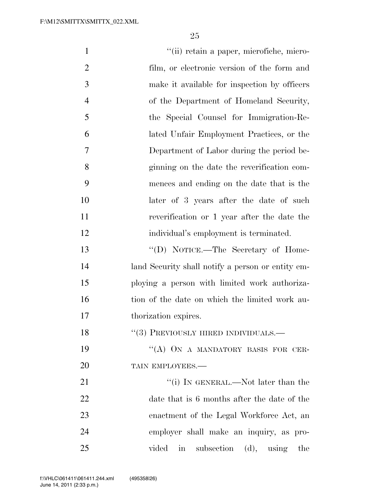| $\mathbf{1}$   | "(ii) retain a paper, microfiche, micro-                        |
|----------------|-----------------------------------------------------------------|
| $\overline{2}$ | film, or electronic version of the form and                     |
| 3              | make it available for inspection by officers                    |
| $\overline{4}$ | of the Department of Homeland Security,                         |
| 5              | the Special Counsel for Immigration-Re-                         |
| 6              | lated Unfair Employment Practices, or the                       |
| 7              | Department of Labor during the period be-                       |
| 8              | ginning on the date the reverification com-                     |
| 9              | mences and ending on the date that is the                       |
| 10             | later of 3 years after the date of such                         |
| 11             | reverification or 1 year after the date the                     |
| 12             | individual's employment is terminated.                          |
| 13             | "(D) NOTICE.—The Secretary of Home-                             |
| 14             | land Security shall notify a person or entity em-               |
| 15             | ploying a person with limited work authoriza-                   |
| 16             | tion of the date on which the limited work au-                  |
| 17             | thorization expires.                                            |
| 18             | $``(3)$ PREVIOUSLY HIRED INDIVIDUALS.—                          |
| 19             | "(A) ON A MANDATORY BASIS FOR CER-                              |
| 20             | TAIN EMPLOYEES.-                                                |
| 21             | "(i) IN GENERAL.—Not later than the                             |
| 22             | date that is 6 months after the date of the                     |
| 23             | enactment of the Legal Workforce Act, an                        |
| 24             | employer shall make an inquiry, as pro-                         |
| 25             | subsection $(d)$ , using<br>vided<br>$\operatorname{in}$<br>the |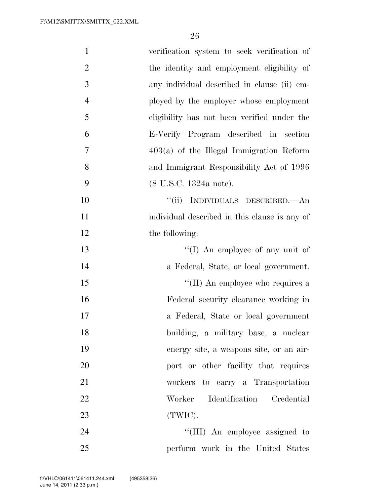| $\mathbf{1}$   | verification system to seek verification of   |
|----------------|-----------------------------------------------|
| $\overline{2}$ | the identity and employment eligibility of    |
| 3              | any individual described in clause (ii) em-   |
| $\overline{4}$ | ployed by the employer whose employment       |
| 5              | eligibility has not been verified under the   |
| 6              | E-Verify Program described in section         |
| 7              | $403(a)$ of the Illegal Immigration Reform    |
| 8              | and Immigrant Responsibility Act of 1996      |
| 9              | $(8 \text{ U.S.C. } 1324a \text{ note}).$     |
| 10             | "(ii) INDIVIDUALS DESCRIBED.—An               |
| 11             | individual described in this clause is any of |
| 12             | the following:                                |
| 13             | "(I) An employee of any unit of               |
| 14             | a Federal, State, or local government.        |
| 15             | "(II) An employee who requires a              |
| 16             | Federal security clearance working in         |
| 17             | a Federal, State or local government          |
| 18             | building, a military base, a nuclear          |
| 19             | energy site, a weapons site, or an air-       |
| 20             | port or other facility that requires          |
| 21             | workers to carry a Transportation             |
| 22             | Identification Credential<br>Worker           |
| 23             | (TWIC).                                       |
| 24             | "(III) An employee assigned to                |
| 25             | perform work in the United States             |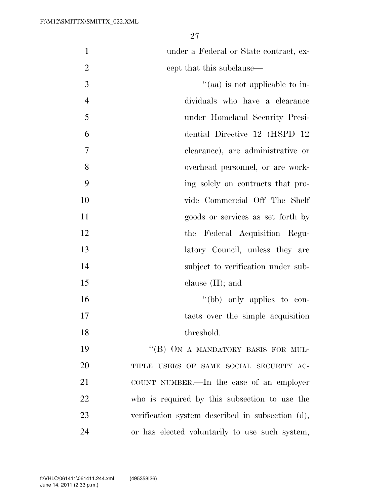under a Federal or State contract, ex-2 cept that this subclause—

 ''(aa) is not applicable to in- dividuals who have a clearance under Homeland Security Presi- dential Directive 12 (HSPD 12 clearance), are administrative or overhead personnel, or are work- ing solely on contracts that pro- vide Commercial Off The Shelf goods or services as set forth by the Federal Acquisition Regu-13 latory Council, unless they are 14 subject to verification under sub-15 clause (II); and  $''(bb)$  only applies to con-17 tacts over the simple acquisition threshold.

19 "(B) ON A MANDATORY BASIS FOR MUL-20 TIPLE USERS OF SAME SOCIAL SECURITY AC- COUNT NUMBER.—In the case of an employer who is required by this subsection to use the verification system described in subsection (d), or has elected voluntarily to use such system,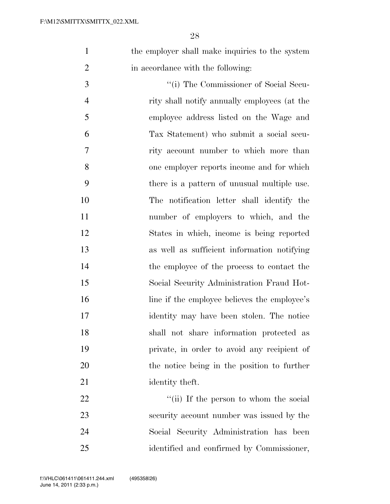1 the employer shall make inquiries to the system 2 in accordance with the following:

 ''(i) The Commissioner of Social Secu- rity shall notify annually employees (at the employee address listed on the Wage and Tax Statement) who submit a social secu- rity account number to which more than one employer reports income and for which there is a pattern of unusual multiple use. The notification letter shall identify the number of employers to which, and the States in which, income is being reported as well as sufficient information notifying the employee of the process to contact the Social Security Administration Fraud Hot-16 line if the employee believes the employee's identity may have been stolen. The notice shall not share information protected as private, in order to avoid any recipient of the notice being in the position to further 21 identity theft.

22 ''(ii) If the person to whom the social security account number was issued by the Social Security Administration has been identified and confirmed by Commissioner,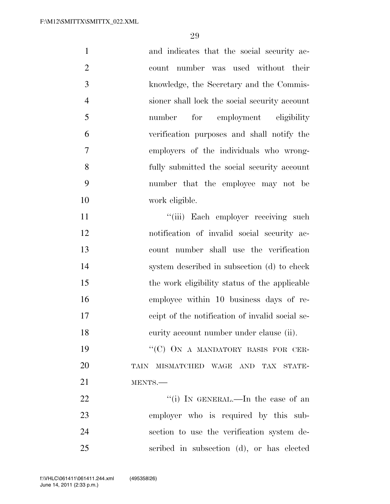| $\mathbf{1}$   | and indicates that the social security ac-      |
|----------------|-------------------------------------------------|
| $\overline{2}$ | count number was used without their             |
| 3              | knowledge, the Secretary and the Commis-        |
| $\overline{4}$ | sioner shall lock the social security account   |
| 5              | for<br>employment eligibility<br>number         |
| 6              | verification purposes and shall notify the      |
| $\overline{7}$ | employers of the individuals who wrong-         |
| 8              | fully submitted the social security account     |
| 9              | number that the employee may not be             |
| 10             | work eligible.                                  |
| 11             | "(iii) Each employer receiving such             |
| 12             | notification of invalid social security ac-     |
| 13             | count number shall use the verification         |
| 14             | system described in subsection (d) to check     |
| 15             | the work eligibility status of the applicable   |
| 16             | employee within 10 business days of re-         |
| 17             | ceipt of the notification of invalid social se- |
| 18             | eurity account number under clause (ii).        |
| 19             | "(C) ON A MANDATORY BASIS FOR CER-              |
| 20             | TAIN MISMATCHED WAGE AND TAX STATE-             |
| 21             | MENTS.                                          |
| 22             | "(i) IN GENERAL.—In the case of an              |
| 23             | employer who is required by this sub-           |
| 24             | section to use the verification system de-      |
| 25             | scribed in subsection (d), or has elected       |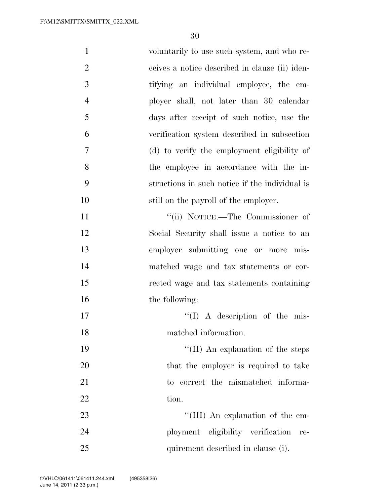| $\mathbf{1}$   | voluntarily to use such system, and who re-    |
|----------------|------------------------------------------------|
| $\overline{2}$ | ceives a notice described in clause (ii) iden- |
| 3              | tifying an individual employee, the em-        |
| $\overline{4}$ | ployer shall, not later than 30 calendar       |
| 5              | days after receipt of such notice, use the     |
| 6              | verification system described in subsection    |
| 7              | (d) to verify the employment eligibility of    |
| 8              | the employee in accordance with the in-        |
| 9              | structions in such notice if the individual is |
| 10             | still on the payroll of the employer.          |
| 11             | "(ii) NOTICE.—The Commissioner of              |
| 12             | Social Security shall issue a notice to an     |
| 13             | employer submitting one or more mis-           |
| 14             | matched wage and tax statements or cor-        |
| 15             | rected wage and tax statements containing      |
| 16             | the following:                                 |
| 17             | $\lq (I)$ A description of the mis-            |
| 18             | matched information.                           |
| 19             | "(II) An explanation of the steps              |
| <b>20</b>      | that the employer is required to take          |
| 21             | to correct the mismatched informa-             |
| 22             | tion.                                          |
| 23             | "(III) An explanation of the em-               |
| 24             | ployment eligibility verification<br>re-       |
| 25             | quirement described in clause (i).             |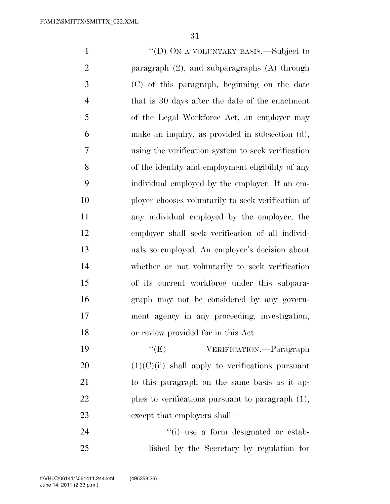''(D) ON A VOLUNTARY BASIS.—Subject to paragraph (2), and subparagraphs (A) through (C) of this paragraph, beginning on the date that is 30 days after the date of the enactment of the Legal Workforce Act, an employer may make an inquiry, as provided in subsection (d), using the verification system to seek verification of the identity and employment eligibility of any individual employed by the employer. If an em- ployer chooses voluntarily to seek verification of any individual employed by the employer, the employer shall seek verification of all individ- uals so employed. An employer's decision about whether or not voluntarily to seek verification of its current workforce under this subpara- graph may not be considered by any govern- ment agency in any proceeding, investigation, or review provided for in this Act.  $C(E)$  VERIFICATION.—Paragraph (1)(C)(ii) shall apply to verifications pursuant to this paragraph on the same basis as it ap-plies to verifications pursuant to paragraph (1),

23 except that employers shall—

24  $(i)$  use a form designated or estab-lished by the Secretary by regulation for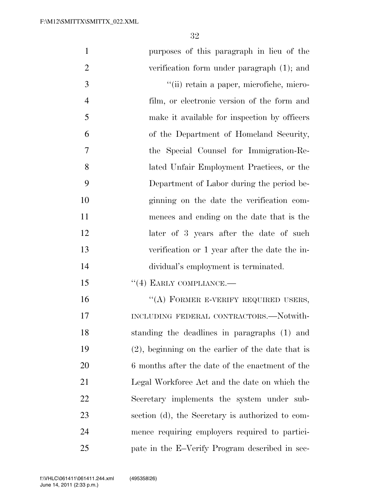| $\mathbf{1}$   | purposes of this paragraph in lieu of the            |
|----------------|------------------------------------------------------|
| $\overline{2}$ | verification form under paragraph (1); and           |
| 3              | "(ii) retain a paper, microfiche, micro-             |
| $\overline{4}$ | film, or electronic version of the form and          |
| 5              | make it available for inspection by officers         |
| 6              | of the Department of Homeland Security,              |
| 7              | the Special Counsel for Immigration-Re-              |
| 8              | lated Unfair Employment Practices, or the            |
| 9              | Department of Labor during the period be-            |
| 10             | ginning on the date the verification com-            |
| 11             | mences and ending on the date that is the            |
| 12             | later of 3 years after the date of such              |
| 13             | verification or 1 year after the date the in-        |
| 14             | dividual's employment is terminated.                 |
| 15             | $``(4)$ EARLY COMPLIANCE.—                           |
| 16             | "(A) FORMER E-VERIFY REQUIRED USERS,                 |
| 17             | INCLUDING FEDERAL CONTRACTORS.-Notwith-              |
| 18             | standing the deadlines in paragraphs (1) and         |
| 19             | $(2)$ , beginning on the earlier of the date that is |
| 20             | 6 months after the date of the enactment of the      |
| 21             | Legal Workforce Act and the date on which the        |
| 22             | Secretary implements the system under sub-           |
| 23             | section (d), the Secretary is authorized to com-     |
| 24             | mence requiring employers required to partici-       |
| 25             | pate in the E-Verify Program described in sec-       |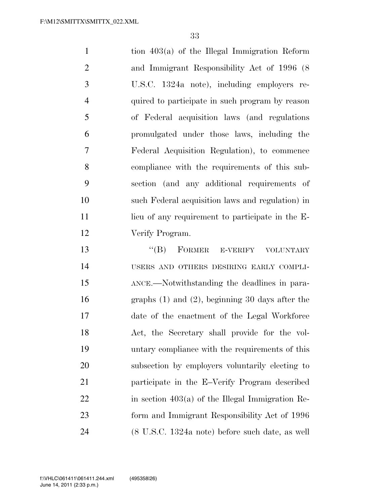tion 403(a) of the Illegal Immigration Reform and Immigrant Responsibility Act of 1996 (8 U.S.C. 1324a note), including employers re- quired to participate in such program by reason of Federal acquisition laws (and regulations promulgated under those laws, including the Federal Acquisition Regulation), to commence compliance with the requirements of this sub- section (and any additional requirements of such Federal acquisition laws and regulation) in 11 lieu of any requirement to participate in the E- Verify Program. 13 "(B) FORMER E-VERIFY VOLUNTARY

 USERS AND OTHERS DESIRING EARLY COMPLI- ANCE.—Notwithstanding the deadlines in para- graphs (1) and (2), beginning 30 days after the date of the enactment of the Legal Workforce Act, the Secretary shall provide for the vol- untary compliance with the requirements of this subsection by employers voluntarily electing to participate in the E–Verify Program described in section  $403(a)$  of the Illegal Immigration Re- form and Immigrant Responsibility Act of 1996 (8 U.S.C. 1324a note) before such date, as well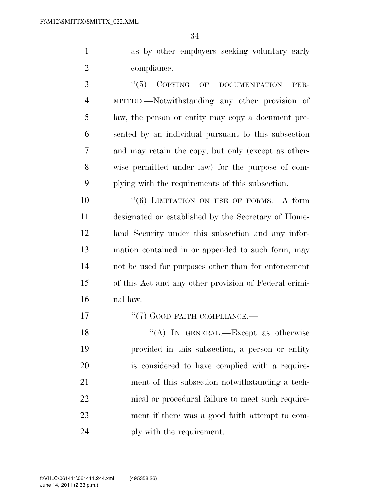as by other employers seeking voluntary early compliance.

3 "(5) COPYING OF DOCUMENTATION PER- MITTED.—Notwithstanding any other provision of law, the person or entity may copy a document pre- sented by an individual pursuant to this subsection and may retain the copy, but only (except as other- wise permitted under law) for the purpose of com-plying with the requirements of this subsection.

10 <sup>''</sup>(6) LIMITATION ON USE OF FORMS.—A form designated or established by the Secretary of Home- land Security under this subsection and any infor- mation contained in or appended to such form, may not be used for purposes other than for enforcement of this Act and any other provision of Federal crimi-nal law.

''(7) GOOD FAITH COMPLIANCE.—

18 "(A) In GENERAL.—Except as otherwise provided in this subsection, a person or entity is considered to have complied with a require- ment of this subsection notwithstanding a tech- nical or procedural failure to meet such require- ment if there was a good faith attempt to com-24 ply with the requirement.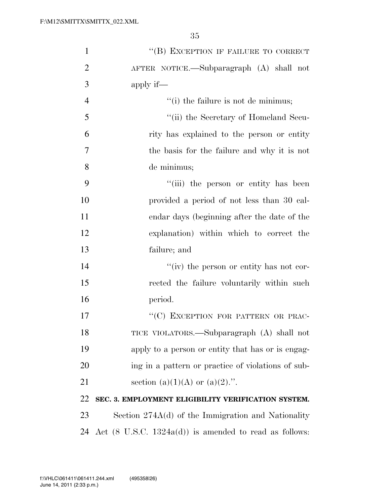| $\mathbf{1}$   | "(B) EXCEPTION IF FAILURE TO CORRECT                              |
|----------------|-------------------------------------------------------------------|
| $\overline{2}$ | AFTER NOTICE.—Subparagraph (A) shall not                          |
| 3              | apply if—                                                         |
| $\overline{4}$ | $f'(i)$ the failure is not de minimus;                            |
| 5              | "(ii) the Secretary of Homeland Secu-                             |
| 6              | rity has explained to the person or entity                        |
| 7              | the basis for the failure and why it is not                       |
| 8              | de minimus;                                                       |
| 9              | "(iii) the person or entity has been                              |
| 10             | provided a period of not less than 30 cal-                        |
| 11             | endar days (beginning after the date of the                       |
| 12             | explanation) within which to correct the                          |
| 13             | failure; and                                                      |
| 14             | "(iv) the person or entity has not cor-                           |
| 15             | rected the failure voluntarily within such                        |
| 16             | period.                                                           |
| 17             | "(C) EXCEPTION FOR PATTERN OR PRAC-                               |
| 18             | TICE VIOLATORS.—Subparagraph (A) shall not                        |
| 19             | apply to a person or entity that has or is engag-                 |
| 20             | ing in a pattern or practice of violations of sub-                |
| 21             | section (a)(1)(A) or (a)(2).".                                    |
| 22             | SEC. 3. EMPLOYMENT ELIGIBILITY VERIFICATION SYSTEM.               |
| 23             | Section $274A(d)$ of the Immigration and Nationality              |
| 24             | Act $(8 \text{ U.S.C. } 1324a(d))$ is amended to read as follows: |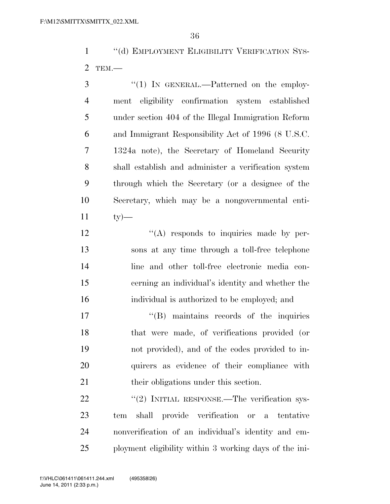1 "(d) EMPLOYMENT ELIGIBILITY VERIFICATION SYS-TEM.—

3 "(1) IN GENERAL.—Patterned on the employ- ment eligibility confirmation system established under section 404 of the Illegal Immigration Reform and Immigrant Responsibility Act of 1996 (8 U.S.C. 1324a note), the Secretary of Homeland Security shall establish and administer a verification system through which the Secretary (or a designee of the Secretary, which may be a nongovernmental enti-ty  $-$ 

 $\langle (A)$  responds to inquiries made by per- sons at any time through a toll-free telephone line and other toll-free electronic media con- cerning an individual's identity and whether the individual is authorized to be employed; and

 $\text{``(B)}$  maintains records of the inquiries that were made, of verifications provided (or not provided), and of the codes provided to in- quirers as evidence of their compliance with 21 their obligations under this section.

22 "(2) INITIAL RESPONSE.—The verification sys- tem shall provide verification or a tentative nonverification of an individual's identity and em-ployment eligibility within 3 working days of the ini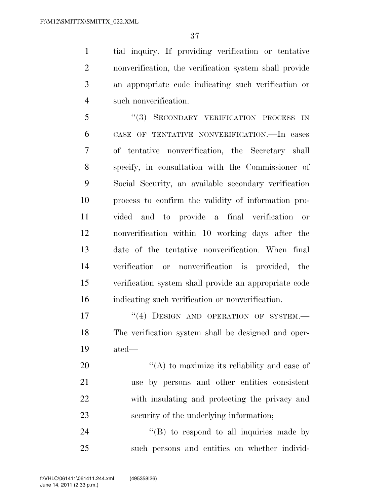tial inquiry. If providing verification or tentative nonverification, the verification system shall provide an appropriate code indicating such verification or such nonverification.

5 "(3) SECONDARY VERIFICATION PROCESS IN CASE OF TENTATIVE NONVERIFICATION.—In cases of tentative nonverification, the Secretary shall specify, in consultation with the Commissioner of Social Security, an available secondary verification process to confirm the validity of information pro- vided and to provide a final verification or nonverification within 10 working days after the date of the tentative nonverification. When final verification or nonverification is provided, the verification system shall provide an appropriate code indicating such verification or nonverification.

17 <sup>''</sup>(4) DESIGN AND OPERATION OF SYSTEM.— The verification system shall be designed and oper-ated—

 $\mathcal{L}(A)$  to maximize its reliability and ease of use by persons and other entities consistent with insulating and protecting the privacy and security of the underlying information;

24 "(B) to respond to all inquiries made by such persons and entities on whether individ-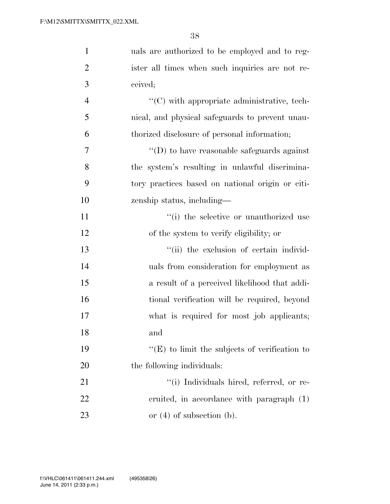| $\mathbf{1}$   | uals are authorized to be employed and to reg-       |
|----------------|------------------------------------------------------|
| $\overline{2}$ | ister all times when such inquiries are not re-      |
| 3              | ceived;                                              |
| $\overline{4}$ | "(C) with appropriate administrative, tech-          |
| 5              | nical, and physical safeguards to prevent unau-      |
| 6              | thorized disclosure of personal information;         |
| 7              | $\lq\lq$ to have reasonable safeguards against       |
| 8              | the system's resulting in unlawful discrimina-       |
| 9              | tory practices based on national origin or citi-     |
| 10             | zenship status, including—                           |
| 11             | "(i) the selective or unauthorized use               |
| 12             | of the system to verify eligibility; or              |
| 13             | "(ii) the exclusion of certain individ-              |
| 14             | uals from consideration for employment as            |
| 15             | a result of a perceived likelihood that addi-        |
| 16             | tional verification will be required, beyond         |
| 17             | what is required for most job applicants;            |
| 18             | and                                                  |
| 19             | $\lq\lq(E)$ to limit the subjects of verification to |
| 20             | the following individuals:                           |
| 21             | "(i) Individuals hired, referred, or re-             |
| 22             | eruited, in accordance with paragraph (1)            |
| 23             | or $(4)$ of subsection $(b)$ .                       |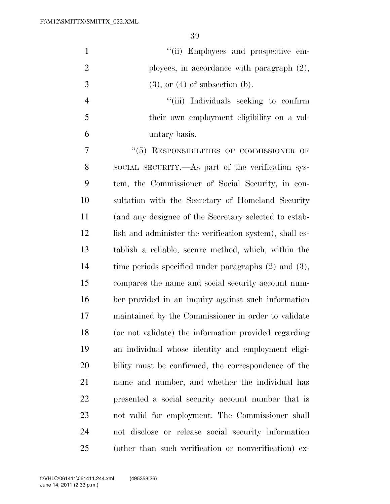| $\mathbf{1}$   | "(ii) Employees and prospective em-                       |
|----------------|-----------------------------------------------------------|
| $\overline{2}$ | ployees, in accordance with paragraph $(2)$ ,             |
| 3              | $(3)$ , or $(4)$ of subsection $(b)$ .                    |
| $\overline{4}$ | "(iii) Individuals seeking to confirm                     |
| 5              | their own employment eligibility on a vol-                |
| 6              | untary basis.                                             |
| 7              | "(5) RESPONSIBILITIES OF COMMISSIONER OF                  |
| 8              | SOCIAL SECURITY.—As part of the verification sys-         |
| 9              | tem, the Commissioner of Social Security, in con-         |
| 10             | sultation with the Secretary of Homeland Security         |
| 11             | (and any designee of the Secretary selected to estab-     |
| 12             | lish and administer the verification system), shall es-   |
| 13             | tablish a reliable, secure method, which, within the      |
| 14             | time periods specified under paragraphs $(2)$ and $(3)$ , |
| 15             | compares the name and social security account num-        |
| 16             | ber provided in an inquiry against such information       |
| 17             | maintained by the Commissioner in order to validate       |
| 18             | (or not validate) the information provided regarding      |
| 19             | an individual whose identity and employment eligi-        |
| 20             | bility must be confirmed, the correspondence of the       |
| 21             | name and number, and whether the individual has           |
| 22             | presented a social security account number that is        |
| 23             | not valid for employment. The Commissioner shall          |
| 24             | not disclose or release social security information       |
| 25             | (other than such verification or nonverification) ex-     |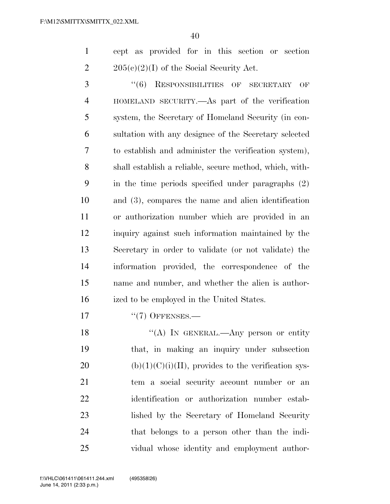cept as provided for in this section or section 2 205(c)(2)(I) of the Social Security Act.

 ''(6) RESPONSIBILITIES OF SECRETARY OF HOMELAND SECURITY.—As part of the verification system, the Secretary of Homeland Security (in con- sultation with any designee of the Secretary selected to establish and administer the verification system), shall establish a reliable, secure method, which, with- in the time periods specified under paragraphs (2) and (3), compares the name and alien identification or authorization number which are provided in an inquiry against such information maintained by the Secretary in order to validate (or not validate) the information provided, the correspondence of the name and number, and whether the alien is author-ized to be employed in the United States.

17 ''(7) OFFENSES.—

18 "(A) In GENERAL.—Any person or entity that, in making an inquiry under subsection 20 (b) $(1)(C)(i)(II)$ , provides to the verification sys- tem a social security account number or an identification or authorization number estab- lished by the Secretary of Homeland Security that belongs to a person other than the indi-vidual whose identity and employment author-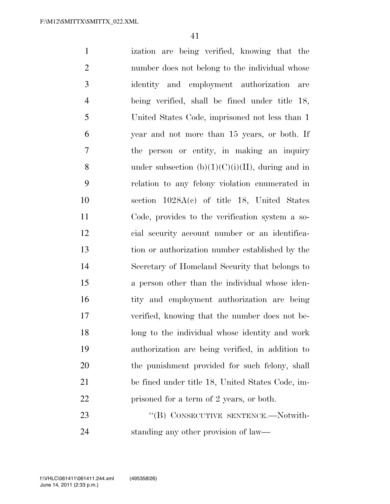ization are being verified, knowing that the number does not belong to the individual whose identity and employment authorization are being verified, shall be fined under title 18, United States Code, imprisoned not less than 1 year and not more than 15 years, or both. If the person or entity, in making an inquiry 8 under subsection  $(b)(1)(C)(i)(II)$ , during and in relation to any felony violation enumerated in section 1028A(c) of title 18, United States Code, provides to the verification system a so- cial security account number or an identifica- tion or authorization number established by the Secretary of Homeland Security that belongs to a person other than the individual whose iden-16 tity and employment authorization are being verified, knowing that the number does not be- long to the individual whose identity and work authorization are being verified, in addition to 20 the punishment provided for such felony, shall be fined under title 18, United States Code, im-22 prisoned for a term of 2 years, or both. 23 "(B) CONSECUTIVE SENTENCE.—Notwith-

standing any other provision of law—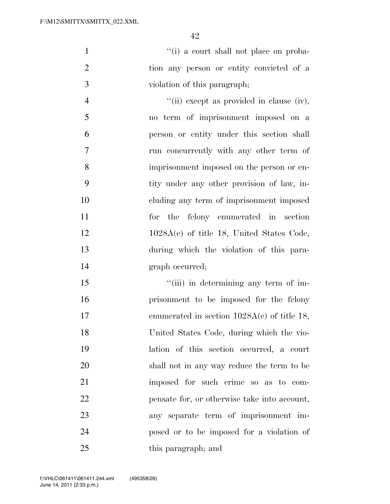1  $\frac{1}{10}$  a court shall not place on proba- tion any person or entity convicted of a violation of this paragraph;

 $"$ (ii) except as provided in clause (iv), no term of imprisonment imposed on a person or entity under this section shall run concurrently with any other term of imprisonment imposed on the person or en- tity under any other provision of law, in- cluding any term of imprisonment imposed for the felony enumerated in section 12 1028A(c) of title 18, United States Code, during which the violation of this para-graph occurred;

15 ''(iii) in determining any term of im- prisonment to be imposed for the felony 17 enumerated in section  $1028A(c)$  of title 18, United States Code, during which the vio- lation of this section occurred, a court shall not in any way reduce the term to be imposed for such crime so as to com- pensate for, or otherwise take into account, any separate term of imprisonment im- posed or to be imposed for a violation of this paragraph; and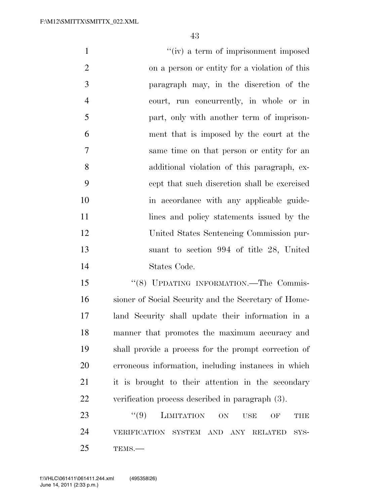| $\mathbf{1}$   | "(iv) a term of imprisonment imposed                        |
|----------------|-------------------------------------------------------------|
| $\overline{2}$ | on a person or entity for a violation of this               |
| 3              | paragraph may, in the discretion of the                     |
| $\overline{4}$ | court, run concurrently, in whole or in                     |
| 5              | part, only with another term of imprison-                   |
| 6              | ment that is imposed by the court at the                    |
| 7              | same time on that person or entity for an                   |
| 8              | additional violation of this paragraph, ex-                 |
| 9              | cept that such discretion shall be exercised                |
| 10             | in accordance with any applicable guide-                    |
| 11             | lines and policy statements issued by the                   |
| 12             | United States Sentencing Commission pur-                    |
| 13             | suant to section 994 of title 28, United                    |
| 14             | States Code.                                                |
| 15             | "(8) UPDATING INFORMATION.-The Commis-                      |
| 16             | sioner of Social Security and the Secretary of Home-        |
| 17             | land Security shall update their information in a           |
| 18             | manner that promotes the maximum accuracy and               |
| 19             | shall provide a process for the prompt correction of        |
| 20             | erroneous information, including instances in which         |
| 21             | it is brought to their attention in the secondary           |
| 22             | verification process described in paragraph (3).            |
| 23             | ``(9)<br><b>LIMITATION</b><br>ON<br><b>USE</b><br>OF<br>THE |
| 24             | VERIFICATION SYSTEM AND ANY RELATED<br>SYS-                 |

TEMS.—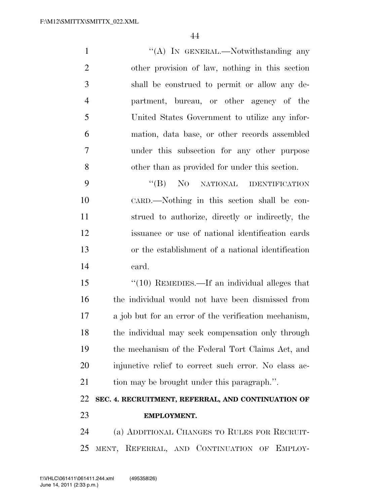1 ''(A) In GENERAL.—Notwithstanding any other provision of law, nothing in this section shall be construed to permit or allow any de- partment, bureau, or other agency of the United States Government to utilize any infor- mation, data base, or other records assembled under this subsection for any other purpose other than as provided for under this section. ''(B) NO NATIONAL IDENTIFICATION

 CARD.—Nothing in this section shall be con- strued to authorize, directly or indirectly, the issuance or use of national identification cards or the establishment of a national identification card.

15 "(10) REMEDIES.—If an individual alleges that the individual would not have been dismissed from a job but for an error of the verification mechanism, the individual may seek compensation only through the mechanism of the Federal Tort Claims Act, and injunctive relief to correct such error. No class ac-21 tion may be brought under this paragraph.".

## **SEC. 4. RECRUITMENT, REFERRAL, AND CONTINUATION OF EMPLOYMENT.**

 (a) ADDITIONAL CHANGES TO RULES FOR RECRUIT-MENT, REFERRAL, AND CONTINUATION OF EMPLOY-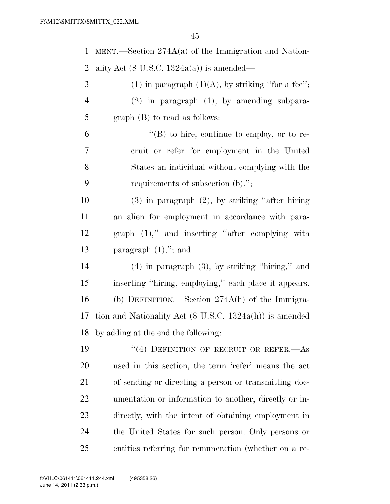MENT.—Section 274A(a) of the Immigration and Nation-2 ality Act  $(8 \text{ U.S.C. } 1324a(a))$  is amended—

| 3              | (1) in paragraph $(1)(A)$ , by striking "for a fee"; |
|----------------|------------------------------------------------------|
| $\overline{4}$ | $(2)$ in paragraph $(1)$ , by amending subpara-      |
|                | graph $(B)$ to read as follows:                      |

 $^4$ (B) to hire, continue to employ, or to re- cruit or refer for employment in the United States an individual without complying with the requirements of subsection (b).'';

 (3) in paragraph (2), by striking ''after hiring an alien for employment in accordance with para- graph (1),'' and inserting ''after complying with paragraph (1),''; and

 (4) in paragraph (3), by striking ''hiring,'' and inserting ''hiring, employing,'' each place it appears. (b) DEFINITION.—Section 274A(h) of the Immigra- tion and Nationality Act (8 U.S.C. 1324a(h)) is amended by adding at the end the following:

19 "(4) DEFINITION OF RECRUIT OR REFER.—As used in this section, the term 'refer' means the act of sending or directing a person or transmitting doc- umentation or information to another, directly or in- directly, with the intent of obtaining employment in the United States for such person. Only persons or entities referring for remuneration (whether on a re-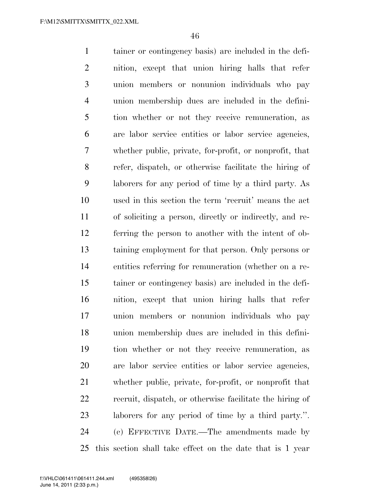tainer or contingency basis) are included in the defi- nition, except that union hiring halls that refer union members or nonunion individuals who pay union membership dues are included in the defini- tion whether or not they receive remuneration, as are labor service entities or labor service agencies, whether public, private, for-profit, or nonprofit, that refer, dispatch, or otherwise facilitate the hiring of laborers for any period of time by a third party. As used in this section the term 'recruit' means the act of soliciting a person, directly or indirectly, and re- ferring the person to another with the intent of ob- taining employment for that person. Only persons or entities referring for remuneration (whether on a re- tainer or contingency basis) are included in the defi- nition, except that union hiring halls that refer union members or nonunion individuals who pay union membership dues are included in this defini- tion whether or not they receive remuneration, as are labor service entities or labor service agencies, whether public, private, for-profit, or nonprofit that recruit, dispatch, or otherwise facilitate the hiring of laborers for any period of time by a third party.''. (c) EFFECTIVE DATE.—The amendments made by this section shall take effect on the date that is 1 year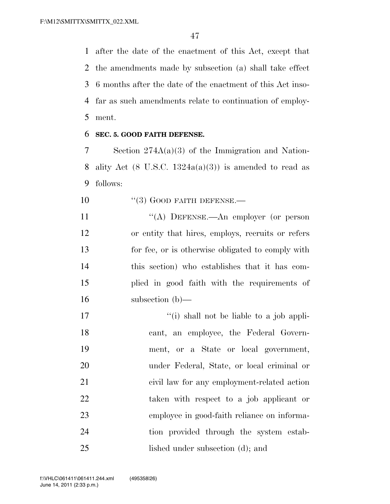after the date of the enactment of this Act, except that the amendments made by subsection (a) shall take effect 6 months after the date of the enactment of this Act inso- far as such amendments relate to continuation of employ-ment.

#### **SEC. 5. GOOD FAITH DEFENSE.**

 Section 274A(a)(3) of the Immigration and Nation-8 ality Act (8 U.S.C.  $1324a(a)(3)$ ) is amended to read as follows:

- 10 "(3) GOOD FAITH DEFENSE.—
- 11 "(A) DEFENSE.—An employer (or person or entity that hires, employs, recruits or refers for fee, or is otherwise obligated to comply with this section) who establishes that it has com- plied in good faith with the requirements of subsection (b)—
- 17 ''(i) shall not be liable to a job appli- cant, an employee, the Federal Govern- ment, or a State or local government, under Federal, State, or local criminal or civil law for any employment-related action taken with respect to a job applicant or employee in good-faith reliance on informa-24 tion provided through the system estab-lished under subsection (d); and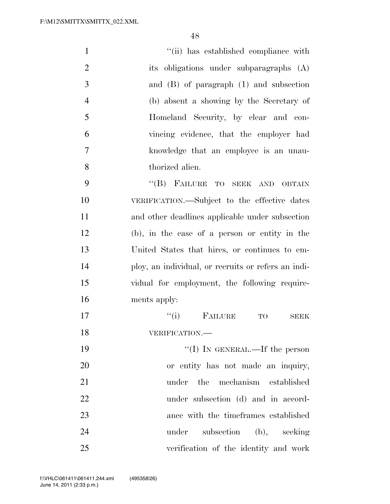| $\mathbf{1}$   | "(ii) has established compliance with               |
|----------------|-----------------------------------------------------|
| $\overline{2}$ | its obligations under subparagraphs (A)             |
| 3              | and $(B)$ of paragraph $(1)$ and subsection         |
| $\overline{4}$ | (b) absent a showing by the Secretary of            |
| 5              | Homeland Security, by clear and con-                |
| 6              | vincing evidence, that the employer had             |
| $\tau$         | knowledge that an employee is an unau-              |
| 8              | thorized alien.                                     |
| 9              | "(B) FAILURE TO SEEK AND OBTAIN                     |
| 10             | VERIFICATION.—Subject to the effective dates        |
| 11             | and other deadlines applicable under subsection     |
| 12             | (b), in the case of a person or entity in the       |
| 13             | United States that hires, or continues to em-       |
| 14             | ploy, an individual, or recruits or refers an indi- |
| 15             | vidual for employment, the following require-       |
| 16             | ments apply:                                        |
| 17             | ``(i)<br>FAILURE<br>TO<br><b>SEEK</b>               |
| 18             | VERIFICATION.-                                      |
| 19             | "(I) IN GENERAL.—If the person                      |
| 20             | or entity has not made an inquiry,                  |
| 21             | mechanism established<br>the<br>under               |
| 22             | under subsection (d) and in accord-                 |
| 23             | ance with the timeframes established                |
| 24             | subsection (b), seeking<br>under                    |
| 25             | verification of the identity and work               |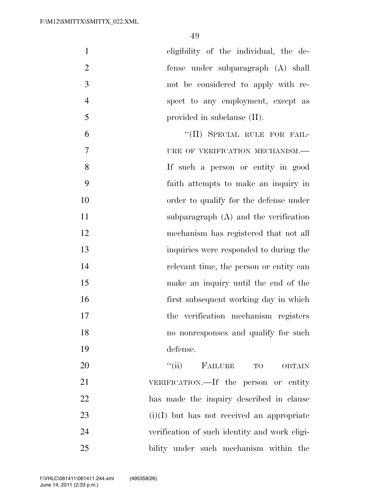|    | eligibility of the individual, the de- |
|----|----------------------------------------|
| 2  | fense under subparagraph (A) shall     |
| 3  | not be considered to apply with re-    |
|    | spect to any employment, except as     |
| -5 | provided in subclause $(II)$ .         |
|    | "(II) SPECIAL RULE FOR FAIL-           |

7 URE OF VERIFICATION MECHANISM.— If such a person or entity in good faith attempts to make an inquiry in order to qualify for the defense under 11 subparagraph (A) and the verification mechanism has registered that not all inquiries were responded to during the relevant time, the person or entity can make an inquiry until the end of the first subsequent working day in which the verification mechanism registers no nonresponses and qualify for such defense.

 $"$ (ii) FAILURE TO OBTAIN VERIFICATION.—If the person or entity has made the inquiry described in clause (i)(I) but has not received an appropriate verification of such identity and work eligi-bility under such mechanism within the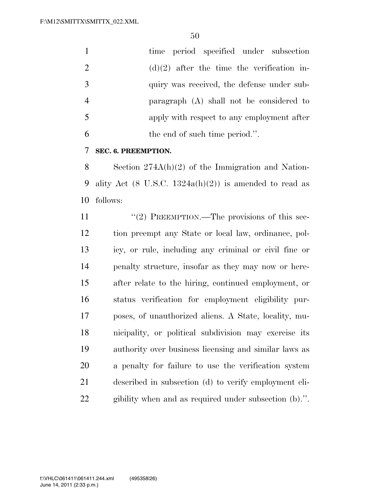|                | time period specified under subsection       |
|----------------|----------------------------------------------|
| -2             | $(d)(2)$ after the time the verification in- |
| -3             | quiry was received, the defense under sub-   |
| $\overline{4}$ | paragraph (A) shall not be considered to     |
| -5             | apply with respect to any employment after   |
| 6              | the end of such time period.".               |

#### **SEC. 6. PREEMPTION.**

 Section 274A(h)(2) of the Immigration and Nation-9 ality Act  $(8 \text{ U.S.C. } 1324a(h)(2))$  is amended to read as follows:

11 "(2) PREEMPTION.—The provisions of this sec- tion preempt any State or local law, ordinance, pol- icy, or rule, including any criminal or civil fine or penalty structure, insofar as they may now or here- after relate to the hiring, continued employment, or status verification for employment eligibility pur- poses, of unauthorized aliens. A State, locality, mu- nicipality, or political subdivision may exercise its authority over business licensing and similar laws as a penalty for failure to use the verification system described in subsection (d) to verify employment eli-gibility when and as required under subsection (b).''.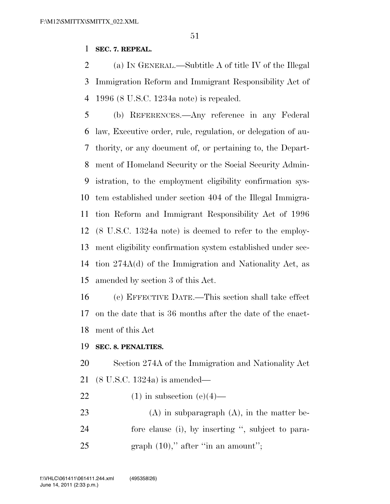#### **SEC. 7. REPEAL.**

 (a) IN GENERAL.—Subtitle A of title IV of the Illegal Immigration Reform and Immigrant Responsibility Act of 1996 (8 U.S.C. 1234a note) is repealed.

 (b) REFERENCES.—Any reference in any Federal law, Executive order, rule, regulation, or delegation of au- thority, or any document of, or pertaining to, the Depart- ment of Homeland Security or the Social Security Admin- istration, to the employment eligibility confirmation sys- tem established under section 404 of the Illegal Immigra- tion Reform and Immigrant Responsibility Act of 1996 (8 U.S.C. 1324a note) is deemed to refer to the employ- ment eligibility confirmation system established under sec- tion 274A(d) of the Immigration and Nationality Act, as amended by section 3 of this Act.

 (c) EFFECTIVE DATE.—This section shall take effect on the date that is 36 months after the date of the enact-ment of this Act

#### **SEC. 8. PENALTIES.**

 Section 274A of the Immigration and Nationality Act (8 U.S.C. 1324a) is amended—

- 22 (1) in subsection  $(e)(4)$ —
- 23 (A) in subparagraph  $(A)$ , in the matter be- fore clause (i), by inserting '', subject to para-25 graph  $(10)$ ," after "in an amount";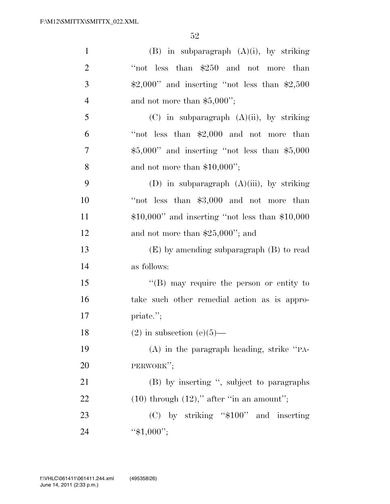| $\mathbf{1}$   | $(B)$ in subparagraph $(A)(i)$ , by striking      |
|----------------|---------------------------------------------------|
| $\overline{2}$ | "not less than \$250 and not more than            |
| 3              | $$2,000"$ and inserting "not less than $$2,500$   |
| $\overline{4}$ | and not more than $$5,000$ ";                     |
| 5              | $(C)$ in subparagraph $(A)(ii)$ , by striking     |
| 6              | "not less than $$2,000$ and not more than         |
| $\overline{7}$ | $$5,000"$ and inserting "not less than $$5,000$   |
| 8              | and not more than $$10,000$ ";                    |
| 9              | (D) in subparagraph $(A)(iii)$ , by striking      |
| 10             | "not less than \$3,000 and not more than          |
| 11             | $$10,000"$ and inserting "not less than $$10,000$ |
| 12             | and not more than $$25,000$ "; and                |
| 13             | $(E)$ by amending subparagraph $(B)$ to read      |
| 14             | as follows:                                       |
| 15             | $\lq\lq (B)$ may require the person or entity to  |
| 16             | take such other remedial action as is appro-      |
| 17             | priate.";                                         |
| 18             | $(2)$ in subsection $(e)(5)$ —                    |
| 19             | $(A)$ in the paragraph heading, strike "PA-       |
| 20             | PERWORK";                                         |
| 21             | (B) by inserting ", subject to paragraphs         |
| 22             | $(10)$ through $(12)$ ," after "in an amount";    |
| 23             | (C) by striking "\$100" and inserting             |
| 24             | " $$1,000$ ";                                     |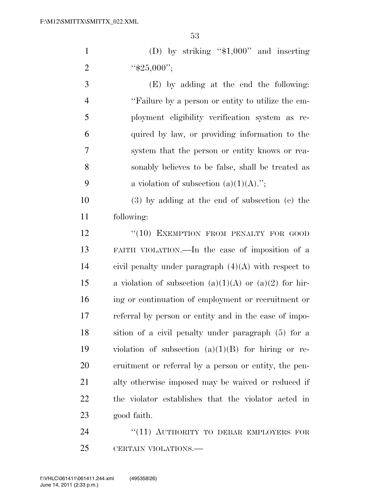1 (D) by striking "\$1,000" and inserting 2  $``\$25,000";$ 

 (E) by adding at the end the following: ''Failure by a person or entity to utilize the em- ployment eligibility verification system as re- quired by law, or providing information to the system that the person or entity knows or rea- sonably believes to be false, shall be treated as 9 a violation of subsection  $(a)(1)(A)$ .";

 (3) by adding at the end of subsection (e) the following:

12 "(10) EXEMPTION FROM PENALTY FOR GOOD FAITH VIOLATION.—In the case of imposition of a 14 civil penalty under paragraph  $(4)(A)$  with respect to 15 a violation of subsection  $(a)(1)(A)$  or  $(a)(2)$  for hir- ing or continuation of employment or recruitment or referral by person or entity and in the case of impo- sition of a civil penalty under paragraph (5) for a violation of subsection (a)(1)(B) for hiring or re- cruitment or referral by a person or entity, the pen- alty otherwise imposed may be waived or reduced if the violator establishes that the violator acted in good faith.

24 "(11) AUTHORITY TO DEBAR EMPLOYERS FOR CERTAIN VIOLATIONS.—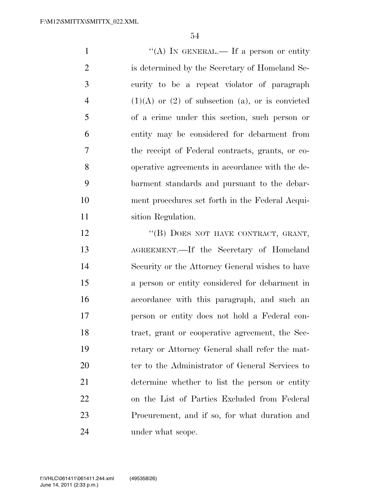1 "'(A) IN GENERAL.— If a person or entity is determined by the Secretary of Homeland Se- curity to be a repeat violator of paragraph 4 (1)(A) or (2) of subsection (a), or is convicted of a crime under this section, such person or entity may be considered for debarment from the receipt of Federal contracts, grants, or co- operative agreements in accordance with the de- barment standards and pursuant to the debar- ment procedures set forth in the Federal Acqui- sition Regulation. 12 "(B) DOES NOT HAVE CONTRACT, GRANT,

 AGREEMENT.—If the Secretary of Homeland Security or the Attorney General wishes to have a person or entity considered for debarment in accordance with this paragraph, and such an person or entity does not hold a Federal con- tract, grant or cooperative agreement, the Sec- retary or Attorney General shall refer the mat- ter to the Administrator of General Services to determine whether to list the person or entity on the List of Parties Excluded from Federal Procurement, and if so, for what duration and 24 under what scope.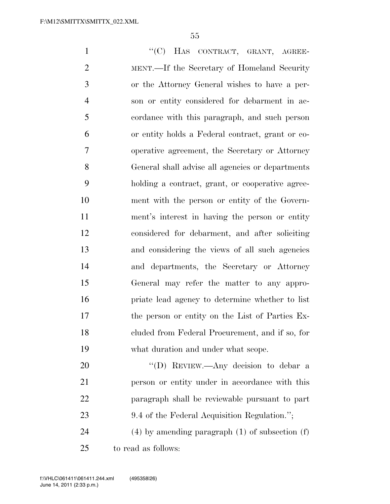1 "'(C) HAS CONTRACT, GRANT, AGREE- MENT.—If the Secretary of Homeland Security or the Attorney General wishes to have a per- son or entity considered for debarment in ac- cordance with this paragraph, and such person or entity holds a Federal contract, grant or co- operative agreement, the Secretary or Attorney General shall advise all agencies or departments holding a contract, grant, or cooperative agree- ment with the person or entity of the Govern- ment's interest in having the person or entity considered for debarment, and after soliciting and considering the views of all such agencies and departments, the Secretary or Attorney General may refer the matter to any appro- priate lead agency to determine whether to list the person or entity on the List of Parties Ex- cluded from Federal Procurement, and if so, for what duration and under what scope. 20 "'(D) REVIEW.—Any decision to debar a person or entity under in accordance with this paragraph shall be reviewable pursuant to part

23 9.4 of the Federal Acquisition Regulation.";

 (4) by amending paragraph (1) of subsection (f) to read as follows: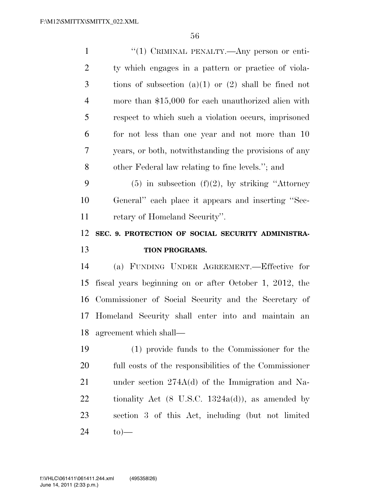| $\mathbf{1}$   | "(1) CRIMINAL PENALTY.—Any person or enti-                   |
|----------------|--------------------------------------------------------------|
| $\overline{2}$ | ty which engages in a pattern or practice of viola-          |
| 3              | tions of subsection (a)(1) or (2) shall be fined not         |
| 4              | more than \$15,000 for each unauthorized alien with          |
| 5              | respect to which such a violation occurs, imprisoned         |
| 6              | for not less than one year and not more than 10              |
| 7              | years, or both, notwithstanding the provisions of any        |
| 8              | other Federal law relating to fine levels."; and             |
| 9              | $(5)$ in subsection $(f)(2)$ , by striking "Attorney"        |
| 10             | General" each place it appears and inserting "Sec-           |
| 11             | retary of Homeland Security".                                |
| 12             | SEC. 9. PROTECTION OF SOCIAL SECURITY ADMINISTRA-            |
|                |                                                              |
| 13             | <b>TION PROGRAMS.</b>                                        |
|                | (a) FUNDING UNDER AGREEMENT.—Effective for                   |
| 14<br>15       | fiscal years beginning on or after October 1, 2012, the      |
| 16             | Commissioner of Social Security and the Secretary of         |
|                | 17 Homeland Security shall enter into and maintain an        |
| 18             | agreement which shall-                                       |
| 19             | (1) provide funds to the Commissioner for the                |
| <b>20</b>      | full costs of the responsibilities of the Commissioner       |
| 21             | under section $274A(d)$ of the Immigration and Na-           |
| 22             | tionality Act $(8 \text{ U.S.C. } 1324a(d))$ , as amended by |
| 23             | section 3 of this Act, including (but not limited            |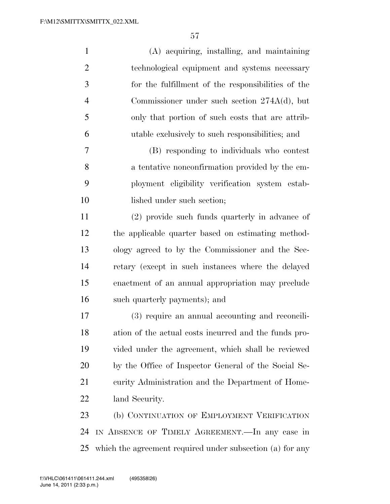| $\mathbf{1}$   | (A) acquiring, installing, and maintaining                |
|----------------|-----------------------------------------------------------|
| $\overline{2}$ | technological equipment and systems necessary             |
| 3              | for the fulfillment of the responsibilities of the        |
| $\overline{4}$ | Commissioner under such section $274A(d)$ , but           |
| 5              | only that portion of such costs that are attrib-          |
| 6              | utable exclusively to such responsibilities; and          |
| $\overline{7}$ | (B) responding to individuals who contest                 |
| 8              | a tentative nonconfirmation provided by the em-           |
| 9              | ployment eligibility verification system estab-           |
| 10             | lished under such section;                                |
| 11             | (2) provide such funds quarterly in advance of            |
| 12             | the applicable quarter based on estimating method-        |
| 13             | ology agreed to by the Commissioner and the Sec-          |
| 14             | retary (except in such instances where the delayed        |
| 15             | enactment of an annual appropriation may preclude         |
| 16             | such quarterly payments); and                             |
| 17             | (3) require an annual accounting and reconcili-           |
| 18             | ation of the actual costs incurred and the funds pro-     |
| 19             | vided under the agreement, which shall be reviewed        |
| 20             | by the Office of Inspector General of the Social Se-      |
| 21             | curity Administration and the Department of Home-         |
| 22             | land Security.                                            |
| 23             | (b) CONTINUATION OF EMPLOYMENT VERIFICATION               |
| 24             | IN ABSENCE OF TIMELY AGREEMENT. In any case in            |
| 25             | which the agreement required under subsection (a) for any |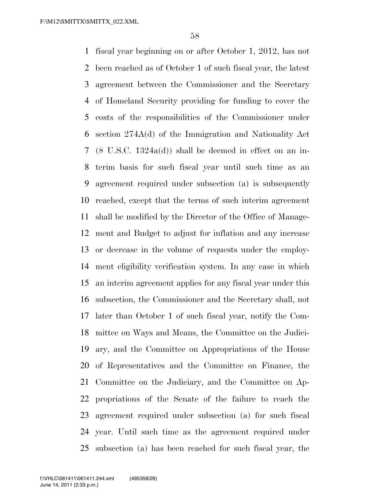fiscal year beginning on or after October 1, 2012, has not been reached as of October 1 of such fiscal year, the latest agreement between the Commissioner and the Secretary of Homeland Security providing for funding to cover the costs of the responsibilities of the Commissioner under section 274A(d) of the Immigration and Nationality Act (8 U.S.C. 1324a(d)) shall be deemed in effect on an in- terim basis for such fiscal year until such time as an agreement required under subsection (a) is subsequently reached, except that the terms of such interim agreement shall be modified by the Director of the Office of Manage- ment and Budget to adjust for inflation and any increase or decrease in the volume of requests under the employ- ment eligibility verification system. In any case in which an interim agreement applies for any fiscal year under this subsection, the Commissioner and the Secretary shall, not later than October 1 of such fiscal year, notify the Com- mittee on Ways and Means, the Committee on the Judici- ary, and the Committee on Appropriations of the House of Representatives and the Committee on Finance, the Committee on the Judiciary, and the Committee on Ap- propriations of the Senate of the failure to reach the agreement required under subsection (a) for such fiscal year. Until such time as the agreement required under subsection (a) has been reached for such fiscal year, the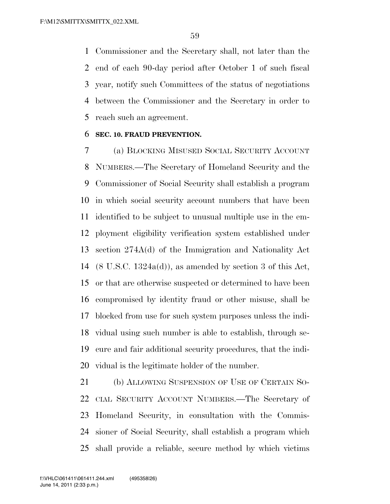Commissioner and the Secretary shall, not later than the end of each 90-day period after October 1 of such fiscal year, notify such Committees of the status of negotiations between the Commissioner and the Secretary in order to reach such an agreement.

#### **SEC. 10. FRAUD PREVENTION.**

 (a) BLOCKING MISUSED SOCIAL SECURITY ACCOUNT NUMBERS.—The Secretary of Homeland Security and the Commissioner of Social Security shall establish a program in which social security account numbers that have been identified to be subject to unusual multiple use in the em- ployment eligibility verification system established under section 274A(d) of the Immigration and Nationality Act (8 U.S.C. 1324a(d)), as amended by section 3 of this Act, or that are otherwise suspected or determined to have been compromised by identity fraud or other misuse, shall be blocked from use for such system purposes unless the indi- vidual using such number is able to establish, through se- cure and fair additional security procedures, that the indi-vidual is the legitimate holder of the number.

 (b) ALLOWING SUSPENSION OF USE OF CERTAIN SO- CIAL SECURITY ACCOUNT NUMBERS.—The Secretary of Homeland Security, in consultation with the Commis- sioner of Social Security, shall establish a program which shall provide a reliable, secure method by which victims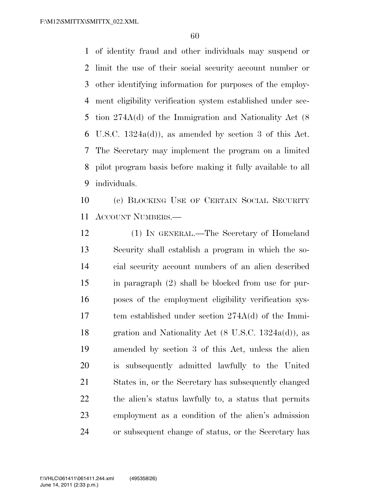F:\M12\SMITTX\SMITTX\_022.XML

 of identity fraud and other individuals may suspend or limit the use of their social security account number or other identifying information for purposes of the employ- ment eligibility verification system established under sec- tion 274A(d) of the Immigration and Nationality Act (8 U.S.C. 1324a(d)), as amended by section 3 of this Act. The Secretary may implement the program on a limited pilot program basis before making it fully available to all individuals.

 (c) BLOCKING USE OF CERTAIN SOCIAL SECURITY ACCOUNT NUMBERS.—

 (1) IN GENERAL.—The Secretary of Homeland Security shall establish a program in which the so- cial security account numbers of an alien described in paragraph (2) shall be blocked from use for pur- poses of the employment eligibility verification sys- tem established under section 274A(d) of the Immi- gration and Nationality Act (8 U.S.C. 1324a(d)), as amended by section 3 of this Act, unless the alien is subsequently admitted lawfully to the United States in, or the Secretary has subsequently changed the alien's status lawfully to, a status that permits employment as a condition of the alien's admission or subsequent change of status, or the Secretary has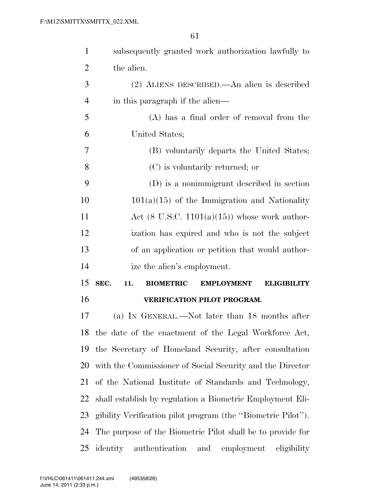| $\mathbf{1}$ | subsequently granted work authorization lawfully to                        |
|--------------|----------------------------------------------------------------------------|
| 2            | the alien.                                                                 |
| 3            | (2) ALIENS DESCRIBED.—An alien is described                                |
| 4            | in this paragraph if the alien—                                            |
| 5            | (A) has a final order of removal from the                                  |
| 6            | United States;                                                             |
| 7            | (B) voluntarily departs the United States;                                 |
| 8            | (C) is voluntarily returned; or                                            |
| 9            | (D) is a nonimmigrant described in section                                 |
| 10           | $101(a)(15)$ of the Immigration and Nationality                            |
| 11           | Act $(8 \text{ U.S.C. } 1101(a)(15))$ whose work author-                   |
| 12           | ization has expired and who is not the subject                             |
| 13           | of an application or petition that would author-                           |
| 14           | ize the alien's employment.                                                |
| 15           | SEC.<br>11.<br><b>BIOMETRIC</b><br><b>EMPLOYMENT</b><br><b>ELIGIBILITY</b> |
| 16           | <b>VERIFICATION PILOT PROGRAM.</b>                                         |
| 17           | (a) IN GENERAL.—Not later than 18 months after                             |
| 18           | the date of the enactment of the Legal Workforce Act,                      |
| 19           | the Secretary of Homeland Security, after consultation                     |
| 20           | with the Commissioner of Social Security and the Director                  |
| 21           | of the National Institute of Standards and Technology,                     |
| 22           | shall establish by regulation a Biometric Employment Eli-                  |
| 23           | gibility Verification pilot program (the "Biometric Pilot").               |
| 24           | The purpose of the Biometric Pilot shall be to provide for                 |
| 25           | authentication<br>identity<br>and<br>eligibility<br>employment             |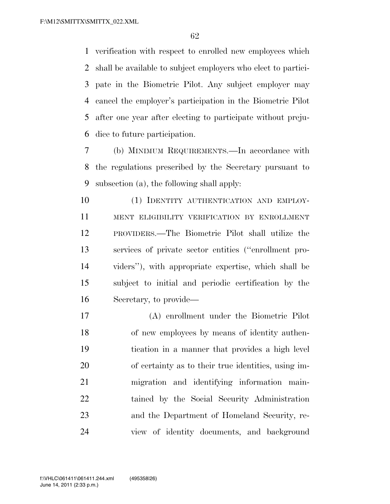verification with respect to enrolled new employees which shall be available to subject employers who elect to partici- pate in the Biometric Pilot. Any subject employer may cancel the employer's participation in the Biometric Pilot after one year after electing to participate without preju-dice to future participation.

 (b) MINIMUM REQUIREMENTS.—In accordance with the regulations prescribed by the Secretary pursuant to subsection (a), the following shall apply:

10 (1) IDENTITY AUTHENTICATION AND EMPLOY- MENT ELIGIBILITY VERIFICATION BY ENROLLMENT PROVIDERS.—The Biometric Pilot shall utilize the services of private sector entities (''enrollment pro- viders''), with appropriate expertise, which shall be subject to initial and periodic certification by the Secretary, to provide—

 (A) enrollment under the Biometric Pilot of new employees by means of identity authen- tication in a manner that provides a high level of certainty as to their true identities, using im- migration and identifying information main- tained by the Social Security Administration and the Department of Homeland Security, re-view of identity documents, and background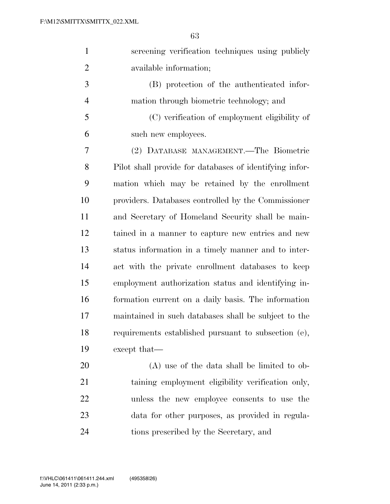| $\mathbf{1}$   | screening verification techniques using publicly        |
|----------------|---------------------------------------------------------|
| $\overline{2}$ | available information;                                  |
| 3              | (B) protection of the authenticated infor-              |
| $\overline{4}$ | mation through biometric technology; and                |
| 5              | (C) verification of employment eligibility of           |
| 6              | such new employees.                                     |
| 7              | (2) DATABASE MANAGEMENT.—The Biometric                  |
| 8              | Pilot shall provide for databases of identifying infor- |
| 9              | mation which may be retained by the enrollment          |
| 10             | providers. Databases controlled by the Commissioner     |
| 11             | and Secretary of Homeland Security shall be main-       |
| 12             | tained in a manner to capture new entries and new       |
| 13             | status information in a timely manner and to inter-     |
| 14             | act with the private enrollment databases to keep       |
| 15             | employment authorization status and identifying in-     |
| 16             | formation current on a daily basis. The information     |
| 17             | maintained in such databases shall be subject to the    |
| 18             | requirements established pursuant to subsection (e),    |
| 19             | except that—                                            |
| 20             | $(A)$ use of the data shall be limited to ob-           |
| 21             | taining employment eligibility verification only,       |
| 22             | unless the new employee consents to use the             |

tions prescribed by the Secretary, and

data for other purposes, as provided in regula-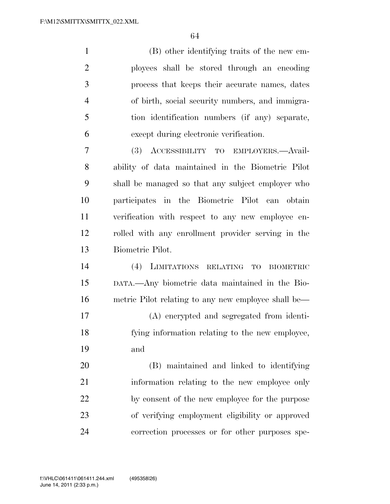(B) other identifying traits of the new em- ployees shall be stored through an encoding process that keeps their accurate names, dates of birth, social security numbers, and immigra- tion identification numbers (if any) separate, except during electronic verification.

 (3) ACCESSIBILITY TO EMPLOYERS.—Avail- ability of data maintained in the Biometric Pilot shall be managed so that any subject employer who participates in the Biometric Pilot can obtain verification with respect to any new employee en- rolled with any enrollment provider serving in the Biometric Pilot.

 (4) LIMITATIONS RELATING TO BIOMETRIC DATA.—Any biometric data maintained in the Bio- metric Pilot relating to any new employee shall be— (A) encrypted and segregated from identi- fying information relating to the new employee, and

 (B) maintained and linked to identifying information relating to the new employee only by consent of the new employee for the purpose of verifying employment eligibility or approved correction processes or for other purposes spe-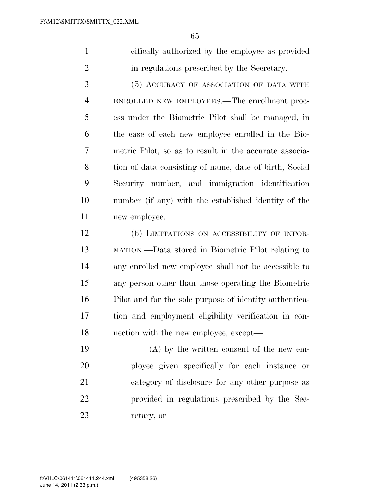| cifically authorized by the employee as provided |
|--------------------------------------------------|
| in regulations prescribed by the Secretary.      |

 (5) ACCURACY OF ASSOCIATION OF DATA WITH ENROLLED NEW EMPLOYEES.—The enrollment proc- ess under the Biometric Pilot shall be managed, in the case of each new employee enrolled in the Bio- metric Pilot, so as to result in the accurate associa- tion of data consisting of name, date of birth, Social Security number, and immigration identification number (if any) with the established identity of the new employee.

 (6) LIMITATIONS ON ACCESSIBILITY OF INFOR- MATION.—Data stored in Biometric Pilot relating to any enrolled new employee shall not be accessible to any person other than those operating the Biometric Pilot and for the sole purpose of identity authentica- tion and employment eligibility verification in con-nection with the new employee, except—

 (A) by the written consent of the new em- ployee given specifically for each instance or category of disclosure for any other purpose as provided in regulations prescribed by the Sec-retary, or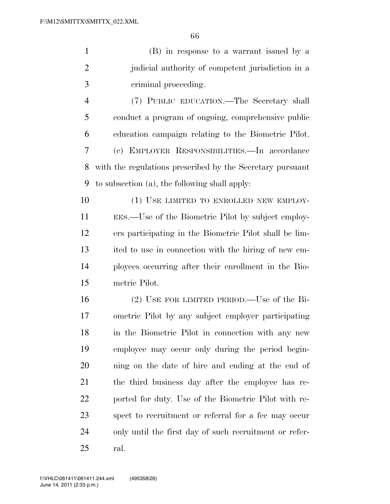(B) in response to a warrant issued by a judicial authority of competent jurisdiction in a criminal proceeding.

 (7) PUBLIC EDUCATION.—The Secretary shall conduct a program of ongoing, comprehensive public education campaign relating to the Biometric Pilot. (c) EMPLOYER RESPONSIBILITIES.—In accordance with the regulations prescribed by the Secretary pursuant to subsection (a), the following shall apply:

10 (1) USE LIMITED TO ENROLLED NEW EMPLOY- EES.—Use of the Biometric Pilot by subject employ- ers participating in the Biometric Pilot shall be lim- ited to use in connection with the hiring of new em- ployees occurring after their enrollment in the Bio-metric Pilot.

 (2) USE FOR LIMITED PERIOD.—Use of the Bi- ometric Pilot by any subject employer participating 18 in the Biometric Pilot in connection with any new employee may occur only during the period begin- ning on the date of hire and ending at the end of the third business day after the employee has re- ported for duty. Use of the Biometric Pilot with re- spect to recruitment or referral for a fee may occur only until the first day of such recruitment or refer-ral.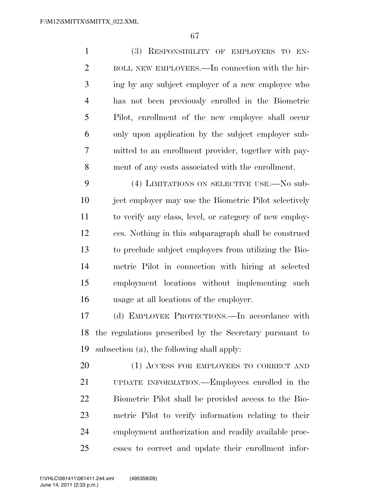(3) RESPONSIBILITY OF EMPLOYERS TO EN- ROLL NEW EMPLOYEES.—In connection with the hir- ing by any subject employer of a new employee who has not been previously enrolled in the Biometric Pilot, enrollment of the new employee shall occur only upon application by the subject employer sub- mitted to an enrollment provider, together with pay- ment of any costs associated with the enrollment. 9 (4) LIMITATIONS ON SELECTIVE USE.—No sub- ject employer may use the Biometric Pilot selectively to verify any class, level, or category of new employ- ees. Nothing in this subparagraph shall be construed to preclude subject employers from utilizing the Bio- metric Pilot in connection with hiring at selected employment locations without implementing such usage at all locations of the employer. (d) EMPLOYEE PROTECTIONS.—In accordance with the regulations prescribed by the Secretary pursuant to subsection (a), the following shall apply: 20 (1) ACCESS FOR EMPLOYEES TO CORRECT AND UPDATE INFORMATION.—Employees enrolled in the Biometric Pilot shall be provided access to the Bio- metric Pilot to verify information relating to their employment authorization and readily available proc-

esses to correct and update their enrollment infor-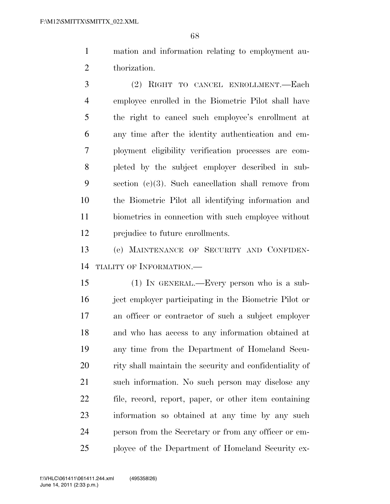mation and information relating to employment au-thorization.

 (2) RIGHT TO CANCEL ENROLLMENT.—Each employee enrolled in the Biometric Pilot shall have the right to cancel such employee's enrollment at any time after the identity authentication and em- ployment eligibility verification processes are com- pleted by the subject employer described in sub- section (c)(3). Such cancellation shall remove from the Biometric Pilot all identifying information and biometrics in connection with such employee without prejudice to future enrollments.

 (e) MAINTENANCE OF SECURITY AND CONFIDEN-TIALITY OF INFORMATION.—

 (1) IN GENERAL.—Every person who is a sub- ject employer participating in the Biometric Pilot or an officer or contractor of such a subject employer and who has access to any information obtained at any time from the Department of Homeland Secu- rity shall maintain the security and confidentiality of such information. No such person may disclose any file, record, report, paper, or other item containing information so obtained at any time by any such person from the Secretary or from any officer or em-ployee of the Department of Homeland Security ex-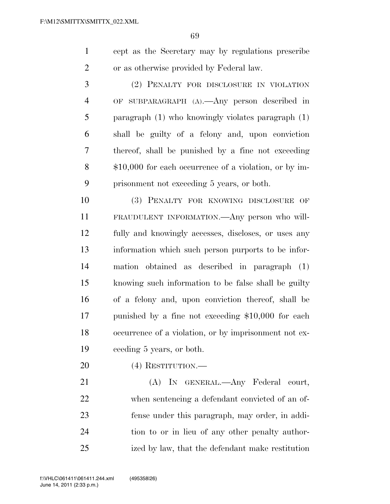cept as the Secretary may by regulations prescribe or as otherwise provided by Federal law.

 (2) PENALTY FOR DISCLOSURE IN VIOLATION OF SUBPARAGRAPH (A).—Any person described in paragraph (1) who knowingly violates paragraph (1) shall be guilty of a felony and, upon conviction thereof, shall be punished by a fine not exceeding \$10,000 for each occurrence of a violation, or by im-prisonment not exceeding 5 years, or both.

 (3) PENALTY FOR KNOWING DISCLOSURE OF FRAUDULENT INFORMATION.—Any person who will- fully and knowingly accesses, discloses, or uses any information which such person purports to be infor- mation obtained as described in paragraph (1) knowing such information to be false shall be guilty of a felony and, upon conviction thereof, shall be punished by a fine not exceeding \$10,000 for each occurrence of a violation, or by imprisonment not ex-ceeding 5 years, or both.

(4) RESTITUTION.—

 (A) IN GENERAL.—Any Federal court, when sentencing a defendant convicted of an of- fense under this paragraph, may order, in addi- tion to or in lieu of any other penalty author-ized by law, that the defendant make restitution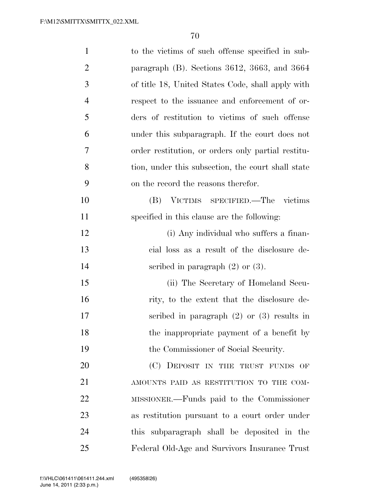| $\mathbf{1}$   | to the victims of such offense specified in sub-   |
|----------------|----------------------------------------------------|
| $\overline{2}$ | paragraph $(B)$ . Sections 3612, 3663, and 3664    |
| 3              | of title 18, United States Code, shall apply with  |
| $\overline{4}$ | respect to the issuance and enforcement of or-     |
| 5              | ders of restitution to victims of such offense     |
| 6              | under this subparagraph. If the court does not     |
| 7              | order restitution, or orders only partial restitu- |
| 8              | tion, under this subsection, the court shall state |
| 9              | on the record the reasons therefor.                |
| 10             | VICTIMS SPECIFIED.—The victims<br>(B)              |
| 11             | specified in this clause are the following:        |
| 12             | (i) Any individual who suffers a finan-            |
| 13             | cial loss as a result of the disclosure de-        |
| 14             | scribed in paragraph $(2)$ or $(3)$ .              |
| 15             | (ii) The Secretary of Homeland Secu-               |
| 16             | rity, to the extent that the disclosure de-        |
| 17             | scribed in paragraph $(2)$ or $(3)$ results in     |
| 18             | the inappropriate payment of a benefit by          |
| 19             | the Commissioner of Social Security.               |
| 20             | (C) DEPOSIT IN THE TRUST FUNDS OF                  |
| 21             | AMOUNTS PAID AS RESTITUTION TO THE COM-            |
| 22             | MISSIONER.—Funds paid to the Commissioner          |
| 23             | as restitution pursuant to a court order under     |
| 24             | this subparagraph shall be deposited in the        |
| 25             | Federal Old-Age and Survivors Insurance Trust      |